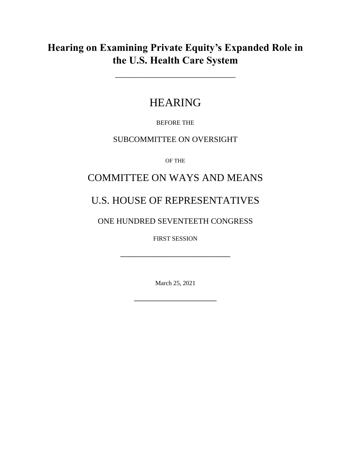# **Hearing on Examining Private Equity's Expanded Role in the U.S. Health Care System**

**\_\_\_\_\_\_\_\_\_\_\_\_\_\_\_\_\_\_\_\_\_\_\_\_\_\_\_\_\_\_\_\_\_\_\_\_\_\_\_\_**

# HEARING

BEFORE THE

### SUBCOMMITTEE ON OVERSIGHT

OF THE

## COMMITTEE ON WAYS AND MEANS

# U.S. HOUSE OF REPRESENTATIVES

## ONE HUNDRED SEVENTEETH CONGRESS

FIRST SESSION

\_\_\_\_\_\_\_\_\_\_\_\_\_\_\_\_\_\_\_\_\_\_\_\_

March 25, 2021

\_\_\_\_\_\_\_\_\_\_\_\_\_\_\_\_\_\_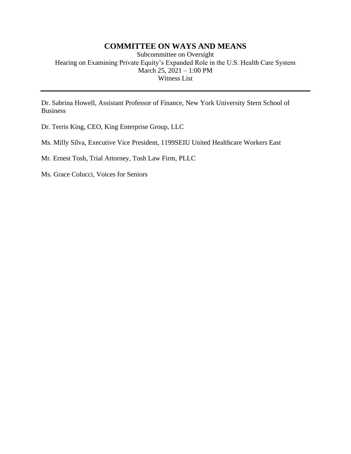#### **COMMITTEE ON WAYS AND MEANS**

Subcommittee on Oversight Hearing on Examining Private Equity's Expanded Role in the U.S. Health Care System March 25, 2021 – 1:00 PM Witness List

Dr. Sabrina Howell, Assistant Professor of Finance, New York University Stern School of Business

Dr. Terris King, CEO, King Enterprise Group, LLC

Ms. Milly Silva, Executive Vice President, 1199SEIU United Healthcare Workers East

Mr. Ernest Tosh, Trial Attorney, Tosh Law Firm, PLLC

Ms. Grace Colucci, Voices for Seniors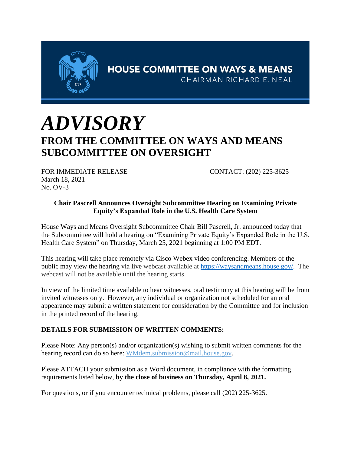

# *ADVISORY* **FROM THE COMMITTEE ON WAYS AND MEANS SUBCOMMITTEE ON OVERSIGHT**

FOR IMMEDIATE RELEASE CONTACT: (202) 225-3625 March 18, 2021 No. OV-3

#### **Chair Pascrell Announces Oversight Subcommittee Hearing on Examining Private Equity's Expanded Role in the U.S. Health Care System**

House Ways and Means Oversight Subcommittee Chair Bill Pascrell, Jr. announced today that the Subcommittee will hold a hearing on "Examining Private Equity's Expanded Role in the U.S. Health Care System" on Thursday, March 25, 2021 beginning at 1:00 PM EDT.

This hearing will take place remotely via Cisco Webex video conferencing. Members of the public may view the hearing via live webcast available at https://waysandmeans.house.gov/. The webcast will not be available until the hearing starts.

In view of the limited time available to hear witnesses, oral testimony at this hearing will be from invited witnesses only. However, any individual or organization not scheduled for an oral appearance may submit a written statement for consideration by the Committee and for inclusion in the printed record of the hearing.

#### **DETAILS FOR SUBMISSION OF WRITTEN COMMENTS:**

Please Note: Any person(s) and/or organization(s) wishing to submit written comments for the hearing record can do so here: WMdem.submission@mail.house.gov.

Please ATTACH your submission as a Word document, in compliance with the formatting requirements listed below, **by the close of business on Thursday, April 8, 2021.**

For questions, or if you encounter technical problems, please call (202) 225-3625.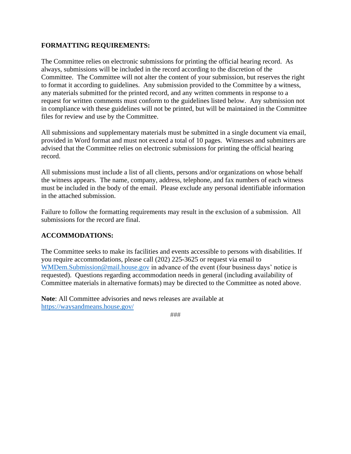#### **FORMATTING REQUIREMENTS:**

The Committee relies on electronic submissions for printing the official hearing record. As always, submissions will be included in the record according to the discretion of the Committee. The Committee will not alter the content of your submission, but reserves the right to format it according to guidelines. Any submission provided to the Committee by a witness, any materials submitted for the printed record, and any written comments in response to a request for written comments must conform to the guidelines listed below. Any submission not in compliance with these guidelines will not be printed, but will be maintained in the Committee files for review and use by the Committee.

All submissions and supplementary materials must be submitted in a single document via email, provided in Word format and must not exceed a total of 10 pages. Witnesses and submitters are advised that the Committee relies on electronic submissions for printing the official hearing record.

All submissions must include a list of all clients, persons and/or organizations on whose behalf the witness appears. The name, company, address, telephone, and fax numbers of each witness must be included in the body of the email. Please exclude any personal identifiable information in the attached submission.

Failure to follow the formatting requirements may result in the exclusion of a submission. All submissions for the record are final.

#### **ACCOMMODATIONS:**

The Committee seeks to make its facilities and events accessible to persons with disabilities. If you require accommodations, please call (202) 225-3625 or request via email to WMDem.Submission@mail.house.gov in advance of the event (four business days' notice is requested). Questions regarding accommodation needs in general (including availability of Committee materials in alternative formats) may be directed to the Committee as noted above.

**Note**: All Committee advisories and news releases are available at https://waysandmeans.house.gov/

###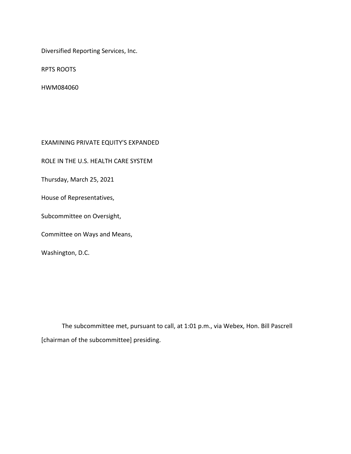Diversified Reporting Services, Inc.

RPTS ROOTS

HWM084060

EXAMINING PRIVATE EQUITY'S EXPANDED

ROLE IN THE U.S. HEALTH CARE SYSTEM

Thursday, March 25, 2021

House of Representatives,

Subcommittee on Oversight,

Committee on Ways and Means,

Washington, D.C.

The subcommittee met, pursuant to call, at 1:01 p.m., via Webex, Hon. Bill Pascrell [chairman of the subcommittee] presiding.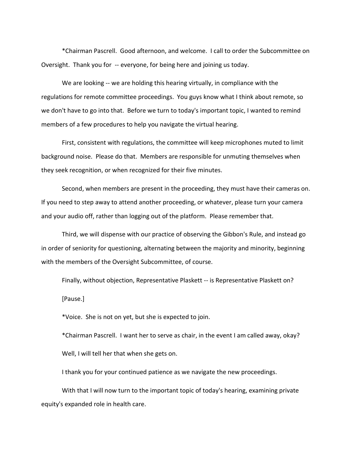\*Chairman Pascrell. Good afternoon, and welcome. I call to order the Subcommittee on Oversight. Thank you for -- everyone, for being here and joining us today.

We are looking -- we are holding this hearing virtually, in compliance with the regulations for remote committee proceedings. You guys know what I think about remote, so we don't have to go into that. Before we turn to today's important topic, I wanted to remind members of a few procedures to help you navigate the virtual hearing.

First, consistent with regulations, the committee will keep microphones muted to limit background noise. Please do that. Members are responsible for unmuting themselves when they seek recognition, or when recognized for their five minutes.

Second, when members are present in the proceeding, they must have their cameras on. If you need to step away to attend another proceeding, or whatever, please turn your camera and your audio off, rather than logging out of the platform. Please remember that.

Third, we will dispense with our practice of observing the Gibbon's Rule, and instead go in order of seniority for questioning, alternating between the majority and minority, beginning with the members of the Oversight Subcommittee, of course.

Finally, without objection, Representative Plaskett -- is Representative Plaskett on? [Pause.]

\*Voice. She is not on yet, but she is expected to join.

\*Chairman Pascrell. I want her to serve as chair, in the event I am called away, okay? Well, I will tell her that when she gets on.

I thank you for your continued patience as we navigate the new proceedings.

With that I will now turn to the important topic of today's hearing, examining private equity's expanded role in health care.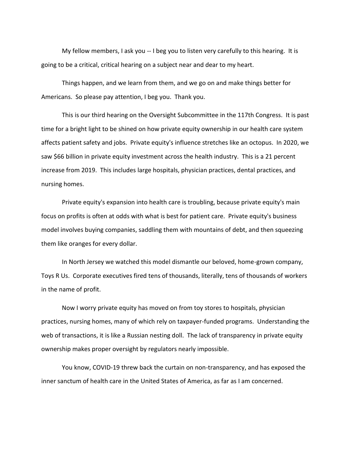My fellow members, I ask you -- I beg you to listen very carefully to this hearing. It is going to be a critical, critical hearing on a subject near and dear to my heart.

Things happen, and we learn from them, and we go on and make things better for Americans. So please pay attention, I beg you. Thank you.

This is our third hearing on the Oversight Subcommittee in the 117th Congress. It is past time for a bright light to be shined on how private equity ownership in our health care system affects patient safety and jobs. Private equity's influence stretches like an octopus. In 2020, we saw \$66 billion in private equity investment across the health industry. This is a 21 percent increase from 2019. This includes large hospitals, physician practices, dental practices, and nursing homes.

Private equity's expansion into health care is troubling, because private equity's main focus on profits is often at odds with what is best for patient care. Private equity's business model involves buying companies, saddling them with mountains of debt, and then squeezing them like oranges for every dollar.

In North Jersey we watched this model dismantle our beloved, home-grown company, Toys R Us. Corporate executives fired tens of thousands, literally, tens of thousands of workers in the name of profit.

Now I worry private equity has moved on from toy stores to hospitals, physician practices, nursing homes, many of which rely on taxpayer-funded programs. Understanding the web of transactions, it is like a Russian nesting doll. The lack of transparency in private equity ownership makes proper oversight by regulators nearly impossible.

You know, COVID-19 threw back the curtain on non-transparency, and has exposed the inner sanctum of health care in the United States of America, as far as I am concerned.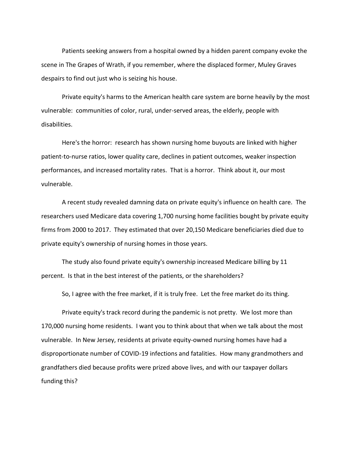Patients seeking answers from a hospital owned by a hidden parent company evoke the scene in The Grapes of Wrath, if you remember, where the displaced former, Muley Graves despairs to find out just who is seizing his house.

Private equity's harms to the American health care system are borne heavily by the most vulnerable: communities of color, rural, under-served areas, the elderly, people with disabilities.

Here's the horror: research has shown nursing home buyouts are linked with higher patient-to-nurse ratios, lower quality care, declines in patient outcomes, weaker inspection performances, and increased mortality rates. That is a horror. Think about it, our most vulnerable.

A recent study revealed damning data on private equity's influence on health care. The researchers used Medicare data covering 1,700 nursing home facilities bought by private equity firms from 2000 to 2017. They estimated that over 20,150 Medicare beneficiaries died due to private equity's ownership of nursing homes in those years.

The study also found private equity's ownership increased Medicare billing by 11 percent. Is that in the best interest of the patients, or the shareholders?

So, I agree with the free market, if it is truly free. Let the free market do its thing.

Private equity's track record during the pandemic is not pretty. We lost more than 170,000 nursing home residents. I want you to think about that when we talk about the most vulnerable. In New Jersey, residents at private equity-owned nursing homes have had a disproportionate number of COVID-19 infections and fatalities. How many grandmothers and grandfathers died because profits were prized above lives, and with our taxpayer dollars funding this?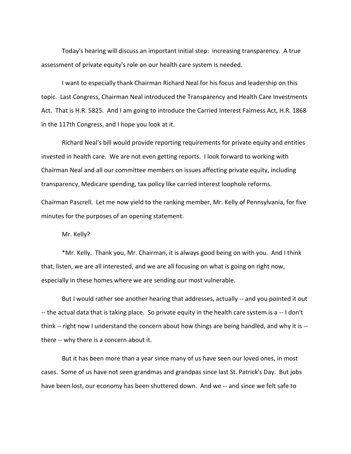Today's hearing will discuss an important initial step: increasing transparency. A true assessment of private equity's role on our health care system is needed.

I want to especially thank Chairman Richard Neal for his focus and leadership on this topic. Last Congress, Chairman Neal introduced the Transparency and Health Care Investments Act. That is H.R. 5825. And I am going to introduce the Carried Interest Fairness Act, H.R. 1868 in the 117th Congress, and I hope you look at it.

Richard Neal's bill would provide reporting requirements for private equity and entities invested in health care. We are not even getting reports. I look forward to working with Chairman Neal and all our committee members on issues affecting private equity, including transparency, Medicare spending, tax policy like carried interest loophole reforms.

Chairman Pascrell. Let me now yield to the ranking member, Mr. Kelly of Pennsylvania, for five minutes for the purposes of an opening statement.

Mr. Kelly?

\*Mr. Kelly. Thank you, Mr. Chairman, it is always good being on with you. And I think that, listen, we are all interested, and we are all focusing on what is going on right now, especially in these homes where we are sending our most vulnerable.

But I would rather see another hearing that addresses, actually -- and you pointed it out -- the actual data that is taking place. So private equity in the health care system is a -- I don't think -- right now I understand the concern about how things are being handled, and why it is - there -- why there is a concern about it.

But it has been more than a year since many of us have seen our loved ones, in most cases. Some of us have not seen grandmas and grandpas since last St. Patrick's Day. But jobs have been lost, our economy has been shuttered down. And we -- and since we felt safe to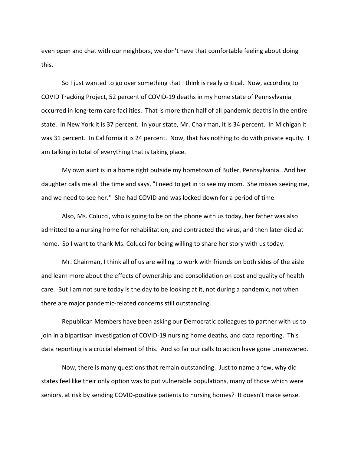even open and chat with our neighbors, we don't have that comfortable feeling about doing this.

So I just wanted to go over something that I think is really critical. Now, according to COVID Tracking Project, 52 percent of COVID-19 deaths in my home state of Pennsylvania occurred in long-term care facilities. That is more than half of all pandemic deaths in the entire state. In New York it is 37 percent. In your state, Mr. Chairman, it is 34 percent. In Michigan it was 31 percent. In California it is 24 percent. Now, that has nothing to do with private equity. I am talking in total of everything that is taking place.

My own aunt is in a home right outside my hometown of Butler, Pennsylvania. And her daughter calls me all the time and says, "I need to get in to see my mom. She misses seeing me, and we need to see her.'' She had COVID and was locked down for a period of time.

Also, Ms. Colucci, who is going to be on the phone with us today, her father was also admitted to a nursing home for rehabilitation, and contracted the virus, and then later died at home. So I want to thank Ms. Colucci for being willing to share her story with us today.

Mr. Chairman, I think all of us are willing to work with friends on both sides of the aisle and learn more about the effects of ownership and consolidation on cost and quality of health care. But I am not sure today is the day to be looking at it, not during a pandemic, not when there are major pandemic-related concerns still outstanding.

Republican Members have been asking our Democratic colleagues to partner with us to join in a bipartisan investigation of COVID-19 nursing home deaths, and data reporting. This data reporting is a crucial element of this. And so far our calls to action have gone unanswered.

Now, there is many questions that remain outstanding. Just to name a few, why did states feel like their only option was to put vulnerable populations, many of those which were seniors, at risk by sending COVID-positive patients to nursing homes? It doesn't make sense.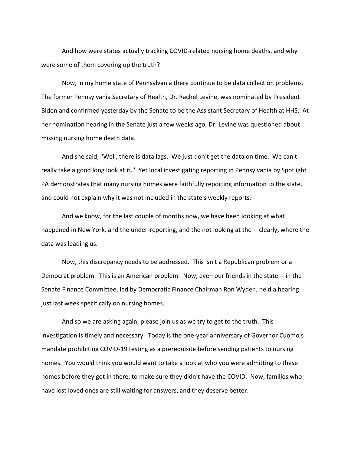And how were states actually tracking COVID-related nursing home deaths, and why were some of them covering up the truth?

Now, in my home state of Pennsylvania there continue to be data collection problems. The former Pennsylvania Secretary of Health, Dr. Rachel Levine, was nominated by President Biden and confirmed yesterday by the Senate to be the Assistant Secretary of Health at HHS. At her nomination hearing in the Senate just a few weeks ago, Dr. Levine was questioned about missing nursing home death data.

And she said, "Well, there is data lags. We just don't get the data on time. We can't really take a good long look at it.'' Yet local investigating reporting in Pennsylvania by Spotlight PA demonstrates that many nursing homes were faithfully reporting information to the state, and could not explain why it was not included in the state's weekly reports.

And we know, for the last couple of months now, we have been looking at what happened in New York, and the under-reporting, and the not looking at the -- clearly, where the data was leading us.

Now, this discrepancy needs to be addressed. This isn't a Republican problem or a Democrat problem. This is an American problem. Now, even our friends in the state -- in the Senate Finance Committee, led by Democratic Finance Chairman Ron Wyden, held a hearing just last week specifically on nursing homes.

And so we are asking again, please join us as we try to get to the truth. This investigation is timely and necessary. Today is the one-year anniversary of Governor Cuomo's mandate prohibiting COVID-19 testing as a prerequisite before sending patients to nursing homes. You would think you would want to take a look at who you were admitting to these homes before they got in there, to make sure they didn't have the COVID. Now, families who have lost loved ones are still waiting for answers, and they deserve better.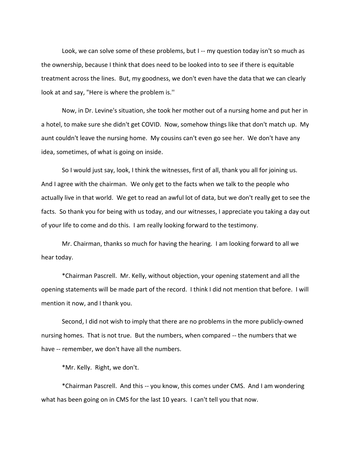Look, we can solve some of these problems, but I -- my question today isn't so much as the ownership, because I think that does need to be looked into to see if there is equitable treatment across the lines. But, my goodness, we don't even have the data that we can clearly look at and say, "Here is where the problem is.''

Now, in Dr. Levine's situation, she took her mother out of a nursing home and put her in a hotel, to make sure she didn't get COVID. Now, somehow things like that don't match up. My aunt couldn't leave the nursing home. My cousins can't even go see her. We don't have any idea, sometimes, of what is going on inside.

So I would just say, look, I think the witnesses, first of all, thank you all for joining us. And I agree with the chairman. We only get to the facts when we talk to the people who actually live in that world. We get to read an awful lot of data, but we don't really get to see the facts. So thank you for being with us today, and our witnesses, I appreciate you taking a day out of your life to come and do this. I am really looking forward to the testimony.

Mr. Chairman, thanks so much for having the hearing. I am looking forward to all we hear today.

\*Chairman Pascrell. Mr. Kelly, without objection, your opening statement and all the opening statements will be made part of the record. I think I did not mention that before. I will mention it now, and I thank you.

Second, I did not wish to imply that there are no problems in the more publicly-owned nursing homes. That is not true. But the numbers, when compared -- the numbers that we have -- remember, we don't have all the numbers.

\*Mr. Kelly. Right, we don't.

\*Chairman Pascrell. And this -- you know, this comes under CMS. And I am wondering what has been going on in CMS for the last 10 years. I can't tell you that now.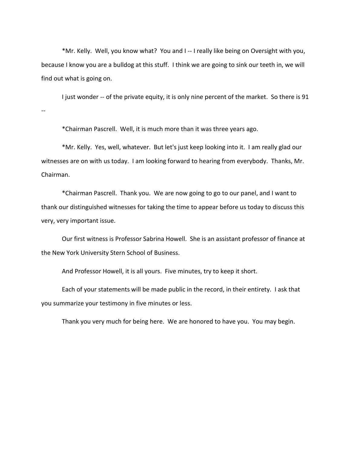\*Mr. Kelly. Well, you know what? You and I -- I really like being on Oversight with you, because I know you are a bulldog at this stuff. I think we are going to sink our teeth in, we will find out what is going on.

I just wonder -- of the private equity, it is only nine percent of the market. So there is 91 --

\*Chairman Pascrell. Well, it is much more than it was three years ago.

\*Mr. Kelly. Yes, well, whatever. But let's just keep looking into it. I am really glad our witnesses are on with us today. I am looking forward to hearing from everybody. Thanks, Mr. Chairman.

\*Chairman Pascrell. Thank you. We are now going to go to our panel, and I want to thank our distinguished witnesses for taking the time to appear before us today to discuss this very, very important issue.

Our first witness is Professor Sabrina Howell. She is an assistant professor of finance at the New York University Stern School of Business.

And Professor Howell, it is all yours. Five minutes, try to keep it short.

Each of your statements will be made public in the record, in their entirety. I ask that you summarize your testimony in five minutes or less.

Thank you very much for being here. We are honored to have you. You may begin.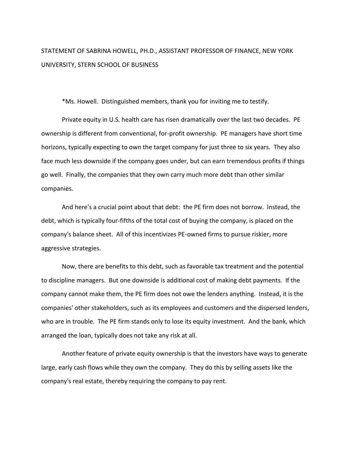## STATEMENT OF SABRINA HOWELL, PH.D., ASSISTANT PROFESSOR OF FINANCE, NEW YORK UNIVERSITY, STERN SCHOOL OF BUSINESS

\*Ms. Howell. Distinguished members, thank you for inviting me to testify.

Private equity in U.S. health care has risen dramatically over the last two decades. PE ownership is different from conventional, for-profit ownership. PE managers have short time horizons, typically expecting to own the target company for just three to six years. They also face much less downside if the company goes under, but can earn tremendous profits if things go well. Finally, the companies that they own carry much more debt than other similar companies.

And here's a crucial point about that debt: the PE firm does not borrow. Instead, the debt, which is typically four-fifths of the total cost of buying the company, is placed on the company's balance sheet. All of this incentivizes PE-owned firms to pursue riskier, more aggressive strategies.

Now, there are benefits to this debt, such as favorable tax treatment and the potential to discipline managers. But one downside is additional cost of making debt payments. If the company cannot make them, the PE firm does not owe the lenders anything. Instead, it is the companies' other stakeholders, such as its employees and customers and the dispersed lenders, who are in trouble. The PE firm stands only to lose its equity investment. And the bank, which arranged the loan, typically does not take any risk at all.

Another feature of private equity ownership is that the investors have ways to generate large, early cash flows while they own the company. They do this by selling assets like the company's real estate, thereby requiring the company to pay rent.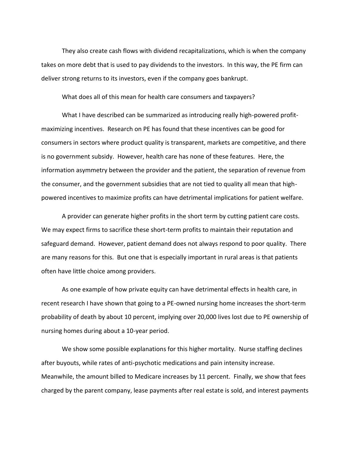They also create cash flows with dividend recapitalizations, which is when the company takes on more debt that is used to pay dividends to the investors. In this way, the PE firm can deliver strong returns to its investors, even if the company goes bankrupt.

What does all of this mean for health care consumers and taxpayers?

What I have described can be summarized as introducing really high-powered profitmaximizing incentives. Research on PE has found that these incentives can be good for consumers in sectors where product quality is transparent, markets are competitive, and there is no government subsidy. However, health care has none of these features. Here, the information asymmetry between the provider and the patient, the separation of revenue from the consumer, and the government subsidies that are not tied to quality all mean that highpowered incentives to maximize profits can have detrimental implications for patient welfare.

A provider can generate higher profits in the short term by cutting patient care costs. We may expect firms to sacrifice these short-term profits to maintain their reputation and safeguard demand. However, patient demand does not always respond to poor quality. There are many reasons for this. But one that is especially important in rural areas is that patients often have little choice among providers.

As one example of how private equity can have detrimental effects in health care, in recent research I have shown that going to a PE-owned nursing home increases the short-term probability of death by about 10 percent, implying over 20,000 lives lost due to PE ownership of nursing homes during about a 10-year period.

We show some possible explanations for this higher mortality. Nurse staffing declines after buyouts, while rates of anti-psychotic medications and pain intensity increase. Meanwhile, the amount billed to Medicare increases by 11 percent. Finally, we show that fees charged by the parent company, lease payments after real estate is sold, and interest payments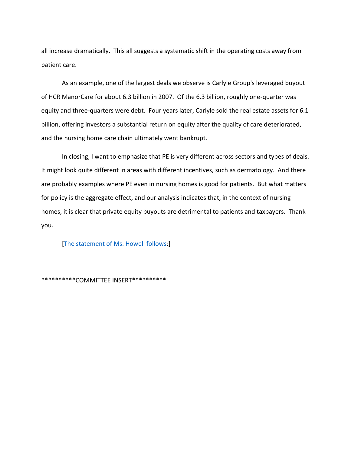all increase dramatically. This all suggests a systematic shift in the operating costs away from patient care.

As an example, one of the largest deals we observe is Carlyle Group's leveraged buyout of HCR ManorCare for about 6.3 billion in 2007. Of the 6.3 billion, roughly one-quarter was equity and three-quarters were debt. Four years later, Carlyle sold the real estate assets for 6.1 billion, offering investors a substantial return on equity after the quality of care deteriorated, and the nursing home care chain ultimately went bankrupt.

In closing, I want to emphasize that PE is very different across sectors and types of deals. It might look quite different in areas with different incentives, such as dermatology. And there are probably examples where PE even in nursing homes is good for patients. But what matters for policy is the aggregate effect, and our analysis indicates that, in the context of nursing homes, it is clear that private equity buyouts are detrimental to patients and taxpayers. Thank you.

[\[The statement of Ms. Howell follows:](https://documentcloud.adobe.com/link/track?uri=urn:aaid:scds:US:8b968fbb-8a7f-4781-8b0a-8d936841b4c9)]

\*\*\*\*\*\*\*\*\*\*COMMITTEE INSERT\*\*\*\*\*\*\*\*\*\*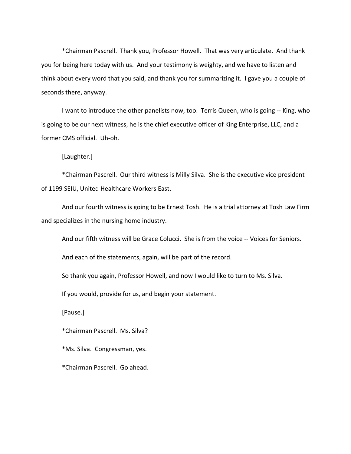\*Chairman Pascrell. Thank you, Professor Howell. That was very articulate. And thank you for being here today with us. And your testimony is weighty, and we have to listen and think about every word that you said, and thank you for summarizing it. I gave you a couple of seconds there, anyway.

I want to introduce the other panelists now, too. Terris Queen, who is going -- King, who is going to be our next witness, he is the chief executive officer of King Enterprise, LLC, and a former CMS official. Uh-oh.

[Laughter.]

\*Chairman Pascrell. Our third witness is Milly Silva. She is the executive vice president of 1199 SEIU, United Healthcare Workers East.

And our fourth witness is going to be Ernest Tosh. He is a trial attorney at Tosh Law Firm and specializes in the nursing home industry.

And our fifth witness will be Grace Colucci. She is from the voice -- Voices for Seniors.

And each of the statements, again, will be part of the record.

So thank you again, Professor Howell, and now I would like to turn to Ms. Silva.

If you would, provide for us, and begin your statement.

[Pause.]

\*Chairman Pascrell. Ms. Silva?

\*Ms. Silva. Congressman, yes.

\*Chairman Pascrell. Go ahead.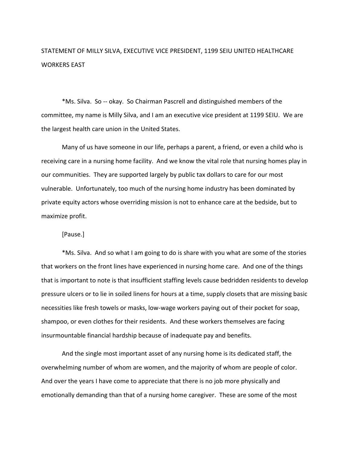## STATEMENT OF MILLY SILVA, EXECUTIVE VICE PRESIDENT, 1199 SEIU UNITED HEALTHCARE WORKERS EAST

\*Ms. Silva. So -- okay. So Chairman Pascrell and distinguished members of the committee, my name is Milly Silva, and I am an executive vice president at 1199 SEIU. We are the largest health care union in the United States.

Many of us have someone in our life, perhaps a parent, a friend, or even a child who is receiving care in a nursing home facility. And we know the vital role that nursing homes play in our communities. They are supported largely by public tax dollars to care for our most vulnerable. Unfortunately, too much of the nursing home industry has been dominated by private equity actors whose overriding mission is not to enhance care at the bedside, but to maximize profit.

#### [Pause.]

\*Ms. Silva. And so what I am going to do is share with you what are some of the stories that workers on the front lines have experienced in nursing home care. And one of the things that is important to note is that insufficient staffing levels cause bedridden residents to develop pressure ulcers or to lie in soiled linens for hours at a time, supply closets that are missing basic necessities like fresh towels or masks, low-wage workers paying out of their pocket for soap, shampoo, or even clothes for their residents. And these workers themselves are facing insurmountable financial hardship because of inadequate pay and benefits.

And the single most important asset of any nursing home is its dedicated staff, the overwhelming number of whom are women, and the majority of whom are people of color. And over the years I have come to appreciate that there is no job more physically and emotionally demanding than that of a nursing home caregiver. These are some of the most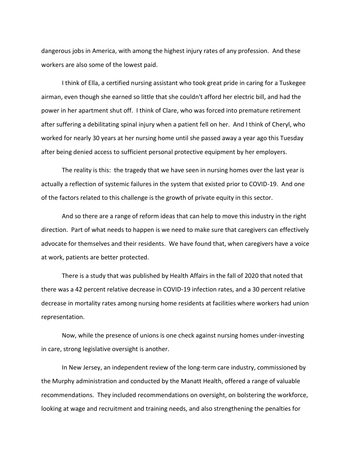dangerous jobs in America, with among the highest injury rates of any profession. And these workers are also some of the lowest paid.

I think of Ella, a certified nursing assistant who took great pride in caring for a Tuskegee airman, even though she earned so little that she couldn't afford her electric bill, and had the power in her apartment shut off. I think of Clare, who was forced into premature retirement after suffering a debilitating spinal injury when a patient fell on her. And I think of Cheryl, who worked for nearly 30 years at her nursing home until she passed away a year ago this Tuesday after being denied access to sufficient personal protective equipment by her employers.

The reality is this: the tragedy that we have seen in nursing homes over the last year is actually a reflection of systemic failures in the system that existed prior to COVID-19. And one of the factors related to this challenge is the growth of private equity in this sector.

And so there are a range of reform ideas that can help to move this industry in the right direction. Part of what needs to happen is we need to make sure that caregivers can effectively advocate for themselves and their residents. We have found that, when caregivers have a voice at work, patients are better protected.

There is a study that was published by Health Affairs in the fall of 2020 that noted that there was a 42 percent relative decrease in COVID-19 infection rates, and a 30 percent relative decrease in mortality rates among nursing home residents at facilities where workers had union representation.

Now, while the presence of unions is one check against nursing homes under-investing in care, strong legislative oversight is another.

In New Jersey, an independent review of the long-term care industry, commissioned by the Murphy administration and conducted by the Manatt Health, offered a range of valuable recommendations. They included recommendations on oversight, on bolstering the workforce, looking at wage and recruitment and training needs, and also strengthening the penalties for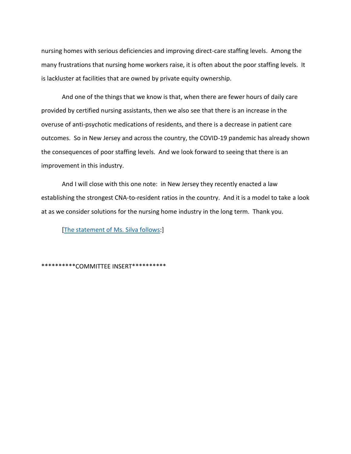nursing homes with serious deficiencies and improving direct-care staffing levels. Among the many frustrations that nursing home workers raise, it is often about the poor staffing levels. It is lackluster at facilities that are owned by private equity ownership.

And one of the things that we know is that, when there are fewer hours of daily care provided by certified nursing assistants, then we also see that there is an increase in the overuse of anti-psychotic medications of residents, and there is a decrease in patient care outcomes. So in New Jersey and across the country, the COVID-19 pandemic has already shown the consequences of poor staffing levels. And we look forward to seeing that there is an improvement in this industry.

And I will close with this one note: in New Jersey they recently enacted a law establishing the strongest CNA-to-resident ratios in the country. And it is a model to take a look at as we consider solutions for the nursing home industry in the long term. Thank you.

[\[The statement of Ms. Silva follows:](https://documentcloud.adobe.com/link/track?uri=urn:aaid:scds:US:789fce63-39c1-4553-8fdd-33878f872c22)]

\*\*\*\*\*\*\*\*\*\*COMMITTEE INSERT\*\*\*\*\*\*\*\*\*\*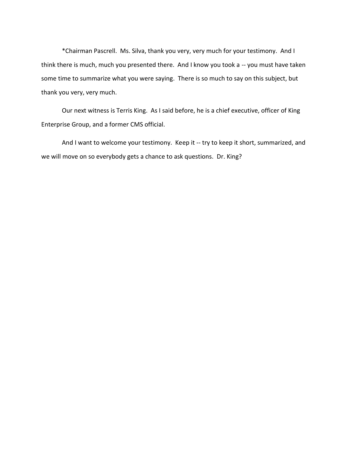\*Chairman Pascrell. Ms. Silva, thank you very, very much for your testimony. And I think there is much, much you presented there. And I know you took a -- you must have taken some time to summarize what you were saying. There is so much to say on this subject, but thank you very, very much.

Our next witness is Terris King. As I said before, he is a chief executive, officer of King Enterprise Group, and a former CMS official.

And I want to welcome your testimony. Keep it -- try to keep it short, summarized, and we will move on so everybody gets a chance to ask questions. Dr. King?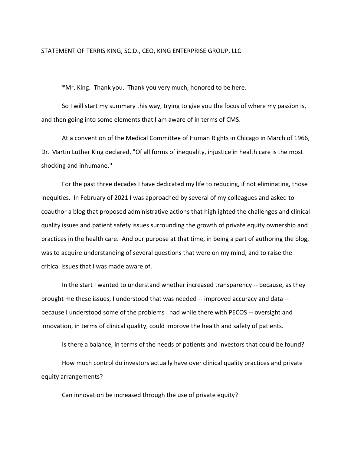#### STATEMENT OF TERRIS KING, SC.D., CEO, KING ENTERPRISE GROUP, LLC

\*Mr. King. Thank you. Thank you very much, honored to be here.

So I will start my summary this way, trying to give you the focus of where my passion is, and then going into some elements that I am aware of in terms of CMS.

At a convention of the Medical Committee of Human Rights in Chicago in March of 1966, Dr. Martin Luther King declared, "Of all forms of inequality, injustice in health care is the most shocking and inhumane.''

For the past three decades I have dedicated my life to reducing, if not eliminating, those inequities. In February of 2021 I was approached by several of my colleagues and asked to coauthor a blog that proposed administrative actions that highlighted the challenges and clinical quality issues and patient safety issues surrounding the growth of private equity ownership and practices in the health care. And our purpose at that time, in being a part of authoring the blog, was to acquire understanding of several questions that were on my mind, and to raise the critical issues that I was made aware of.

In the start I wanted to understand whether increased transparency -- because, as they brought me these issues, I understood that was needed -- improved accuracy and data - because I understood some of the problems I had while there with PECOS -- oversight and innovation, in terms of clinical quality, could improve the health and safety of patients.

Is there a balance, in terms of the needs of patients and investors that could be found? How much control do investors actually have over clinical quality practices and private equity arrangements?

Can innovation be increased through the use of private equity?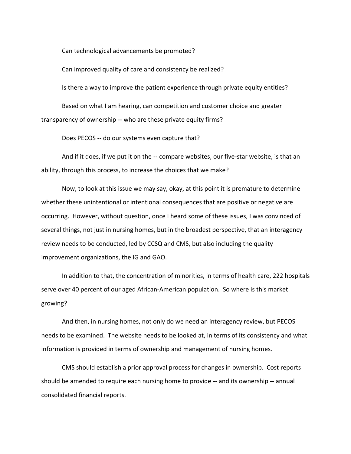Can technological advancements be promoted?

Can improved quality of care and consistency be realized?

Is there a way to improve the patient experience through private equity entities?

Based on what I am hearing, can competition and customer choice and greater transparency of ownership -- who are these private equity firms?

Does PECOS -- do our systems even capture that?

And if it does, if we put it on the -- compare websites, our five-star website, is that an ability, through this process, to increase the choices that we make?

Now, to look at this issue we may say, okay, at this point it is premature to determine whether these unintentional or intentional consequences that are positive or negative are occurring. However, without question, once I heard some of these issues, I was convinced of several things, not just in nursing homes, but in the broadest perspective, that an interagency review needs to be conducted, led by CCSQ and CMS, but also including the quality improvement organizations, the IG and GAO.

In addition to that, the concentration of minorities, in terms of health care, 222 hospitals serve over 40 percent of our aged African-American population. So where is this market growing?

And then, in nursing homes, not only do we need an interagency review, but PECOS needs to be examined. The website needs to be looked at, in terms of its consistency and what information is provided in terms of ownership and management of nursing homes.

CMS should establish a prior approval process for changes in ownership. Cost reports should be amended to require each nursing home to provide -- and its ownership -- annual consolidated financial reports.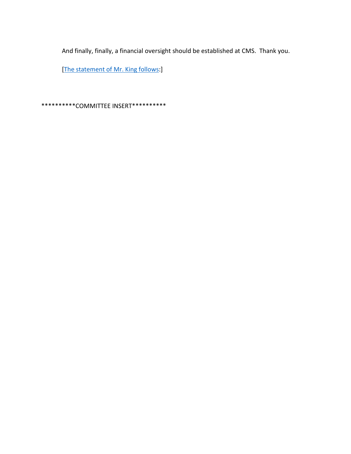And finally, finally, a financial oversight should be established at CMS. Thank you.

[\[The statement of Mr. King follows:](https://documentcloud.adobe.com/link/track?uri=urn:aaid:scds:US:01c47a68-0440-48b6-b31f-41e2010a6061)]

\*\*\*\*\*\*\*\*\*\*COMMITTEE INSERT\*\*\*\*\*\*\*\*\*\*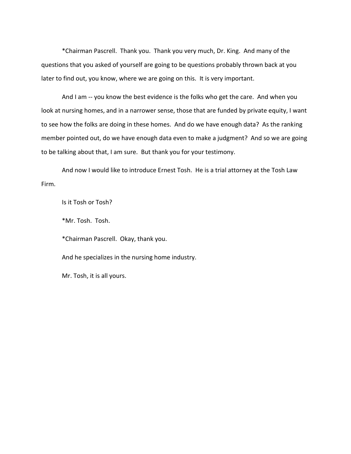\*Chairman Pascrell. Thank you. Thank you very much, Dr. King. And many of the questions that you asked of yourself are going to be questions probably thrown back at you later to find out, you know, where we are going on this. It is very important.

And I am -- you know the best evidence is the folks who get the care. And when you look at nursing homes, and in a narrower sense, those that are funded by private equity, I want to see how the folks are doing in these homes. And do we have enough data? As the ranking member pointed out, do we have enough data even to make a judgment? And so we are going to be talking about that, I am sure. But thank you for your testimony.

And now I would like to introduce Ernest Tosh. He is a trial attorney at the Tosh Law Firm.

Is it Tosh or Tosh?

\*Mr. Tosh. Tosh.

\*Chairman Pascrell. Okay, thank you.

And he specializes in the nursing home industry.

Mr. Tosh, it is all yours.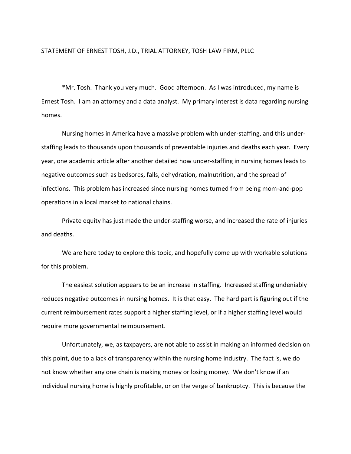#### STATEMENT OF ERNEST TOSH, J.D., TRIAL ATTORNEY, TOSH LAW FIRM, PLLC

\*Mr. Tosh. Thank you very much. Good afternoon. As I was introduced, my name is Ernest Tosh. I am an attorney and a data analyst. My primary interest is data regarding nursing homes.

Nursing homes in America have a massive problem with under-staffing, and this understaffing leads to thousands upon thousands of preventable injuries and deaths each year. Every year, one academic article after another detailed how under-staffing in nursing homes leads to negative outcomes such as bedsores, falls, dehydration, malnutrition, and the spread of infections. This problem has increased since nursing homes turned from being mom-and-pop operations in a local market to national chains.

Private equity has just made the under-staffing worse, and increased the rate of injuries and deaths.

We are here today to explore this topic, and hopefully come up with workable solutions for this problem.

The easiest solution appears to be an increase in staffing. Increased staffing undeniably reduces negative outcomes in nursing homes. It is that easy. The hard part is figuring out if the current reimbursement rates support a higher staffing level, or if a higher staffing level would require more governmental reimbursement.

Unfortunately, we, as taxpayers, are not able to assist in making an informed decision on this point, due to a lack of transparency within the nursing home industry. The fact is, we do not know whether any one chain is making money or losing money. We don't know if an individual nursing home is highly profitable, or on the verge of bankruptcy. This is because the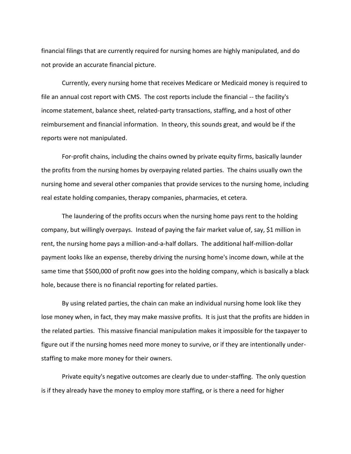financial filings that are currently required for nursing homes are highly manipulated, and do not provide an accurate financial picture.

Currently, every nursing home that receives Medicare or Medicaid money is required to file an annual cost report with CMS. The cost reports include the financial -- the facility's income statement, balance sheet, related-party transactions, staffing, and a host of other reimbursement and financial information. In theory, this sounds great, and would be if the reports were not manipulated.

For-profit chains, including the chains owned by private equity firms, basically launder the profits from the nursing homes by overpaying related parties. The chains usually own the nursing home and several other companies that provide services to the nursing home, including real estate holding companies, therapy companies, pharmacies, et cetera.

The laundering of the profits occurs when the nursing home pays rent to the holding company, but willingly overpays. Instead of paying the fair market value of, say, \$1 million in rent, the nursing home pays a million-and-a-half dollars. The additional half-million-dollar payment looks like an expense, thereby driving the nursing home's income down, while at the same time that \$500,000 of profit now goes into the holding company, which is basically a black hole, because there is no financial reporting for related parties.

By using related parties, the chain can make an individual nursing home look like they lose money when, in fact, they may make massive profits. It is just that the profits are hidden in the related parties. This massive financial manipulation makes it impossible for the taxpayer to figure out if the nursing homes need more money to survive, or if they are intentionally understaffing to make more money for their owners.

Private equity's negative outcomes are clearly due to under-staffing. The only question is if they already have the money to employ more staffing, or is there a need for higher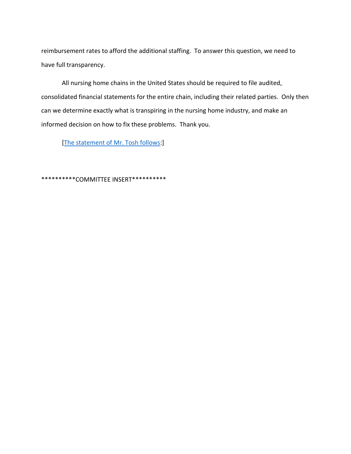reimbursement rates to afford the additional staffing. To answer this question, we need to have full transparency.

All nursing home chains in the United States should be required to file audited, consolidated financial statements for the entire chain, including their related parties. Only then can we determine exactly what is transpiring in the nursing home industry, and make an informed decision on how to fix these problems. Thank you.

[\[The statement of Mr. Tosh follows:](https://documentcloud.adobe.com/link/track?uri=urn:aaid:scds:US:e043d0fc-cbb9-4633-a93b-15b9db6fd9be)]

\*\*\*\*\*\*\*\*\*\*COMMITTEE INSERT\*\*\*\*\*\*\*\*\*\*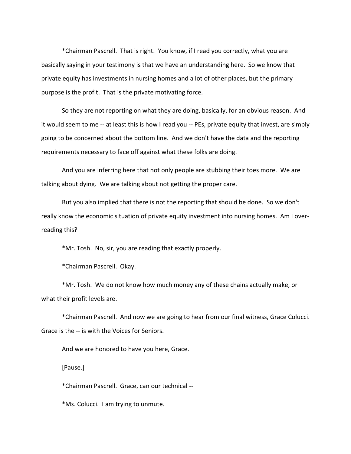\*Chairman Pascrell. That is right. You know, if I read you correctly, what you are basically saying in your testimony is that we have an understanding here. So we know that private equity has investments in nursing homes and a lot of other places, but the primary purpose is the profit. That is the private motivating force.

So they are not reporting on what they are doing, basically, for an obvious reason. And it would seem to me -- at least this is how I read you -- PEs, private equity that invest, are simply going to be concerned about the bottom line. And we don't have the data and the reporting requirements necessary to face off against what these folks are doing.

And you are inferring here that not only people are stubbing their toes more. We are talking about dying. We are talking about not getting the proper care.

But you also implied that there is not the reporting that should be done. So we don't really know the economic situation of private equity investment into nursing homes. Am I overreading this?

\*Mr. Tosh. No, sir, you are reading that exactly properly.

\*Chairman Pascrell. Okay.

\*Mr. Tosh. We do not know how much money any of these chains actually make, or what their profit levels are.

\*Chairman Pascrell. And now we are going to hear from our final witness, Grace Colucci. Grace is the -- is with the Voices for Seniors.

And we are honored to have you here, Grace.

[Pause.]

\*Chairman Pascrell. Grace, can our technical --

\*Ms. Colucci. I am trying to unmute.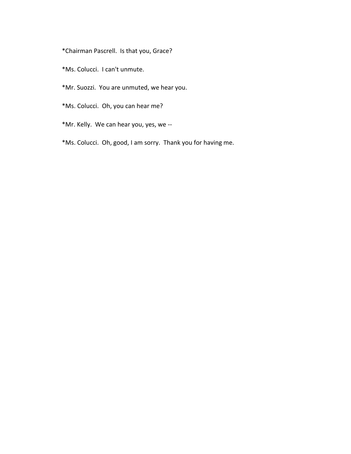\*Chairman Pascrell. Is that you, Grace?

- \*Ms. Colucci. I can't unmute.
- \*Mr. Suozzi. You are unmuted, we hear you.
- \*Ms. Colucci. Oh, you can hear me?
- \*Mr. Kelly. We can hear you, yes, we --
- \*Ms. Colucci. Oh, good, I am sorry. Thank you for having me.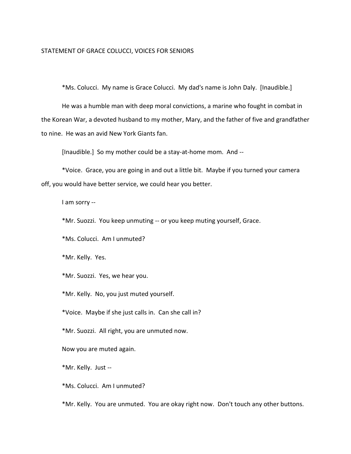#### STATEMENT OF GRACE COLUCCI, VOICES FOR SENIORS

\*Ms. Colucci. My name is Grace Colucci. My dad's name is John Daly. [Inaudible.]

He was a humble man with deep moral convictions, a marine who fought in combat in the Korean War, a devoted husband to my mother, Mary, and the father of five and grandfather to nine. He was an avid New York Giants fan.

[Inaudible.] So my mother could be a stay-at-home mom. And --

\*Voice. Grace, you are going in and out a little bit. Maybe if you turned your camera off, you would have better service, we could hear you better.

I am sorry --

\*Mr. Suozzi. You keep unmuting -- or you keep muting yourself, Grace.

\*Ms. Colucci. Am I unmuted?

\*Mr. Kelly. Yes.

\*Mr. Suozzi. Yes, we hear you.

\*Mr. Kelly. No, you just muted yourself.

\*Voice. Maybe if she just calls in. Can she call in?

\*Mr. Suozzi. All right, you are unmuted now.

Now you are muted again.

\*Mr. Kelly. Just --

\*Ms. Colucci. Am I unmuted?

\*Mr. Kelly. You are unmuted. You are okay right now. Don't touch any other buttons.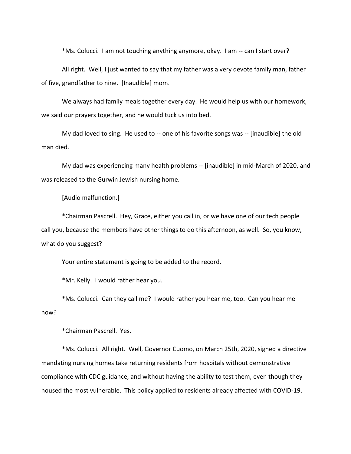\*Ms. Colucci. I am not touching anything anymore, okay. I am -- can I start over?

All right. Well, I just wanted to say that my father was a very devote family man, father of five, grandfather to nine. [Inaudible] mom.

We always had family meals together every day. He would help us with our homework, we said our prayers together, and he would tuck us into bed.

My dad loved to sing. He used to -- one of his favorite songs was -- [inaudible] the old man died.

My dad was experiencing many health problems -- [inaudible] in mid-March of 2020, and was released to the Gurwin Jewish nursing home.

[Audio malfunction.]

\*Chairman Pascrell. Hey, Grace, either you call in, or we have one of our tech people call you, because the members have other things to do this afternoon, as well. So, you know, what do you suggest?

Your entire statement is going to be added to the record.

\*Mr. Kelly. I would rather hear you.

\*Ms. Colucci. Can they call me? I would rather you hear me, too. Can you hear me now?

\*Chairman Pascrell. Yes.

\*Ms. Colucci. All right. Well, Governor Cuomo, on March 25th, 2020, signed a directive mandating nursing homes take returning residents from hospitals without demonstrative compliance with CDC guidance, and without having the ability to test them, even though they housed the most vulnerable. This policy applied to residents already affected with COVID-19.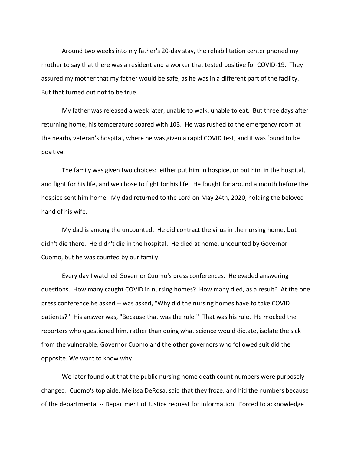Around two weeks into my father's 20-day stay, the rehabilitation center phoned my mother to say that there was a resident and a worker that tested positive for COVID-19. They assured my mother that my father would be safe, as he was in a different part of the facility. But that turned out not to be true.

My father was released a week later, unable to walk, unable to eat. But three days after returning home, his temperature soared with 103. He was rushed to the emergency room at the nearby veteran's hospital, where he was given a rapid COVID test, and it was found to be positive.

The family was given two choices: either put him in hospice, or put him in the hospital, and fight for his life, and we chose to fight for his life. He fought for around a month before the hospice sent him home. My dad returned to the Lord on May 24th, 2020, holding the beloved hand of his wife.

My dad is among the uncounted. He did contract the virus in the nursing home, but didn't die there. He didn't die in the hospital. He died at home, uncounted by Governor Cuomo, but he was counted by our family.

Every day I watched Governor Cuomo's press conferences. He evaded answering questions. How many caught COVID in nursing homes? How many died, as a result? At the one press conference he asked -- was asked, "Why did the nursing homes have to take COVID patients?'' His answer was, "Because that was the rule.'' That was his rule. He mocked the reporters who questioned him, rather than doing what science would dictate, isolate the sick from the vulnerable, Governor Cuomo and the other governors who followed suit did the opposite. We want to know why.

We later found out that the public nursing home death count numbers were purposely changed. Cuomo's top aide, Melissa DeRosa, said that they froze, and hid the numbers because of the departmental -- Department of Justice request for information. Forced to acknowledge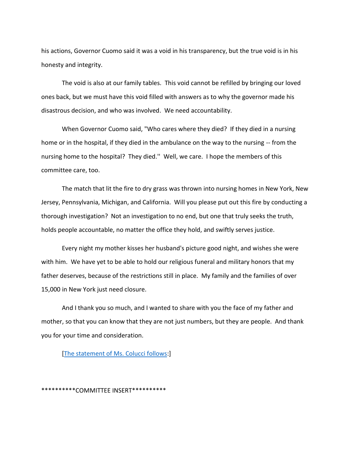his actions, Governor Cuomo said it was a void in his transparency, but the true void is in his honesty and integrity.

The void is also at our family tables. This void cannot be refilled by bringing our loved ones back, but we must have this void filled with answers as to why the governor made his disastrous decision, and who was involved. We need accountability.

When Governor Cuomo said, "Who cares where they died? If they died in a nursing home or in the hospital, if they died in the ambulance on the way to the nursing -- from the nursing home to the hospital? They died.'' Well, we care. I hope the members of this committee care, too.

The match that lit the fire to dry grass was thrown into nursing homes in New York, New Jersey, Pennsylvania, Michigan, and California. Will you please put out this fire by conducting a thorough investigation? Not an investigation to no end, but one that truly seeks the truth, holds people accountable, no matter the office they hold, and swiftly serves justice.

Every night my mother kisses her husband's picture good night, and wishes she were with him. We have yet to be able to hold our religious funeral and military honors that my father deserves, because of the restrictions still in place. My family and the families of over 15,000 in New York just need closure.

And I thank you so much, and I wanted to share with you the face of my father and mother, so that you can know that they are not just numbers, but they are people. And thank you for your time and consideration.

[\[The statement of Ms. Colucci follows:](https://documentcloud.adobe.com/link/track?uri=urn:aaid:scds:US:7938652b-db60-4613-9e5b-d30c1f55f2e0)]

\*\*\*\*\*\*\*\*\*\*COMMITTEE INSERT\*\*\*\*\*\*\*\*\*\*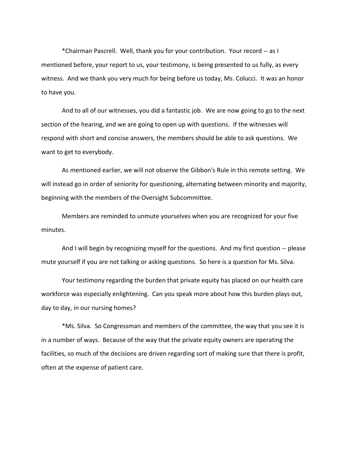\*Chairman Pascrell. Well, thank you for your contribution. Your record -- as I mentioned before, your report to us, your testimony, is being presented to us fully, as every witness. And we thank you very much for being before us today, Ms. Colucci. It was an honor to have you.

And to all of our witnesses, you did a fantastic job. We are now going to go to the next section of the hearing, and we are going to open up with questions. If the witnesses will respond with short and concise answers, the members should be able to ask questions. We want to get to everybody.

As mentioned earlier, we will not observe the Gibbon's Rule in this remote setting. We will instead go in order of seniority for questioning, alternating between minority and majority, beginning with the members of the Oversight Subcommittee.

Members are reminded to unmute yourselves when you are recognized for your five minutes.

And I will begin by recognizing myself for the questions. And my first question -- please mute yourself if you are not talking or asking questions. So here is a question for Ms. Silva.

Your testimony regarding the burden that private equity has placed on our health care workforce was especially enlightening. Can you speak more about how this burden plays out, day to day, in our nursing homes?

\*Ms. Silva. So Congressman and members of the committee, the way that you see it is in a number of ways. Because of the way that the private equity owners are operating the facilities, so much of the decisions are driven regarding sort of making sure that there is profit, often at the expense of patient care.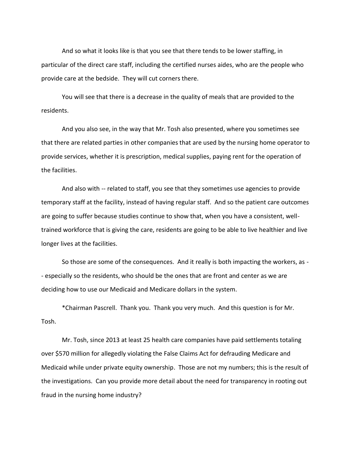And so what it looks like is that you see that there tends to be lower staffing, in particular of the direct care staff, including the certified nurses aides, who are the people who provide care at the bedside. They will cut corners there.

You will see that there is a decrease in the quality of meals that are provided to the residents.

And you also see, in the way that Mr. Tosh also presented, where you sometimes see that there are related parties in other companies that are used by the nursing home operator to provide services, whether it is prescription, medical supplies, paying rent for the operation of the facilities.

And also with -- related to staff, you see that they sometimes use agencies to provide temporary staff at the facility, instead of having regular staff. And so the patient care outcomes are going to suffer because studies continue to show that, when you have a consistent, welltrained workforce that is giving the care, residents are going to be able to live healthier and live longer lives at the facilities.

So those are some of the consequences. And it really is both impacting the workers, as - - especially so the residents, who should be the ones that are front and center as we are deciding how to use our Medicaid and Medicare dollars in the system.

\*Chairman Pascrell. Thank you. Thank you very much. And this question is for Mr. Tosh.

Mr. Tosh, since 2013 at least 25 health care companies have paid settlements totaling over \$570 million for allegedly violating the False Claims Act for defrauding Medicare and Medicaid while under private equity ownership. Those are not my numbers; this is the result of the investigations. Can you provide more detail about the need for transparency in rooting out fraud in the nursing home industry?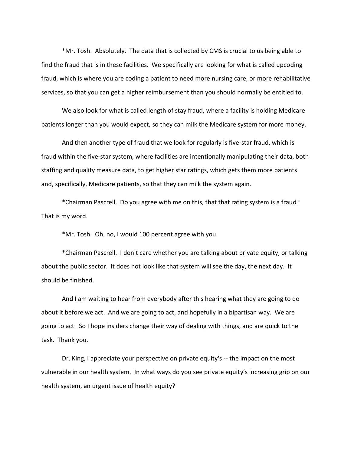\*Mr. Tosh. Absolutely. The data that is collected by CMS is crucial to us being able to find the fraud that is in these facilities. We specifically are looking for what is called upcoding fraud, which is where you are coding a patient to need more nursing care, or more rehabilitative services, so that you can get a higher reimbursement than you should normally be entitled to.

We also look for what is called length of stay fraud, where a facility is holding Medicare patients longer than you would expect, so they can milk the Medicare system for more money.

And then another type of fraud that we look for regularly is five-star fraud, which is fraud within the five-star system, where facilities are intentionally manipulating their data, both staffing and quality measure data, to get higher star ratings, which gets them more patients and, specifically, Medicare patients, so that they can milk the system again.

\*Chairman Pascrell. Do you agree with me on this, that that rating system is a fraud? That is my word.

\*Mr. Tosh. Oh, no, I would 100 percent agree with you.

\*Chairman Pascrell. I don't care whether you are talking about private equity, or talking about the public sector. It does not look like that system will see the day, the next day. It should be finished.

And I am waiting to hear from everybody after this hearing what they are going to do about it before we act. And we are going to act, and hopefully in a bipartisan way. We are going to act. So I hope insiders change their way of dealing with things, and are quick to the task. Thank you.

Dr. King, I appreciate your perspective on private equity's -- the impact on the most vulnerable in our health system. In what ways do you see private equity's increasing grip on our health system, an urgent issue of health equity?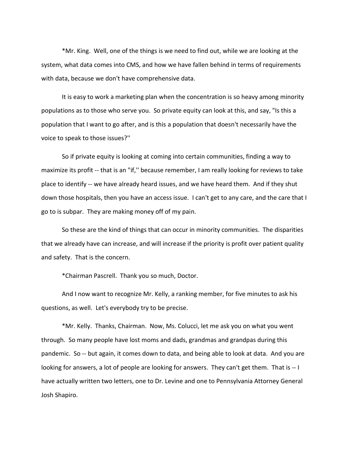\*Mr. King. Well, one of the things is we need to find out, while we are looking at the system, what data comes into CMS, and how we have fallen behind in terms of requirements with data, because we don't have comprehensive data.

It is easy to work a marketing plan when the concentration is so heavy among minority populations as to those who serve you. So private equity can look at this, and say, "Is this a population that I want to go after, and is this a population that doesn't necessarily have the voice to speak to those issues?''

So if private equity is looking at coming into certain communities, finding a way to maximize its profit -- that is an "if,'' because remember, I am really looking for reviews to take place to identify -- we have already heard issues, and we have heard them. And if they shut down those hospitals, then you have an access issue. I can't get to any care, and the care that I go to is subpar. They are making money off of my pain.

So these are the kind of things that can occur in minority communities. The disparities that we already have can increase, and will increase if the priority is profit over patient quality and safety. That is the concern.

\*Chairman Pascrell. Thank you so much, Doctor.

And I now want to recognize Mr. Kelly, a ranking member, for five minutes to ask his questions, as well. Let's everybody try to be precise.

\*Mr. Kelly. Thanks, Chairman. Now, Ms. Colucci, let me ask you on what you went through. So many people have lost moms and dads, grandmas and grandpas during this pandemic. So -- but again, it comes down to data, and being able to look at data. And you are looking for answers, a lot of people are looking for answers. They can't get them. That is -- I have actually written two letters, one to Dr. Levine and one to Pennsylvania Attorney General Josh Shapiro.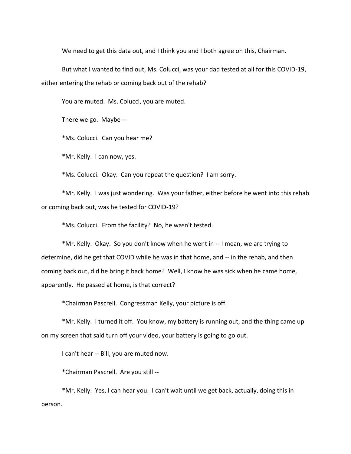We need to get this data out, and I think you and I both agree on this, Chairman.

But what I wanted to find out, Ms. Colucci, was your dad tested at all for this COVID-19, either entering the rehab or coming back out of the rehab?

You are muted. Ms. Colucci, you are muted.

There we go. Maybe --

\*Ms. Colucci. Can you hear me?

\*Mr. Kelly. I can now, yes.

\*Ms. Colucci. Okay. Can you repeat the question? I am sorry.

\*Mr. Kelly. I was just wondering. Was your father, either before he went into this rehab or coming back out, was he tested for COVID-19?

\*Ms. Colucci. From the facility? No, he wasn't tested.

\*Mr. Kelly. Okay. So you don't know when he went in -- I mean, we are trying to determine, did he get that COVID while he was in that home, and -- in the rehab, and then coming back out, did he bring it back home? Well, I know he was sick when he came home, apparently. He passed at home, is that correct?

\*Chairman Pascrell. Congressman Kelly, your picture is off.

\*Mr. Kelly. I turned it off. You know, my battery is running out, and the thing came up on my screen that said turn off your video, your battery is going to go out.

I can't hear -- Bill, you are muted now.

\*Chairman Pascrell. Are you still --

\*Mr. Kelly. Yes, I can hear you. I can't wait until we get back, actually, doing this in person.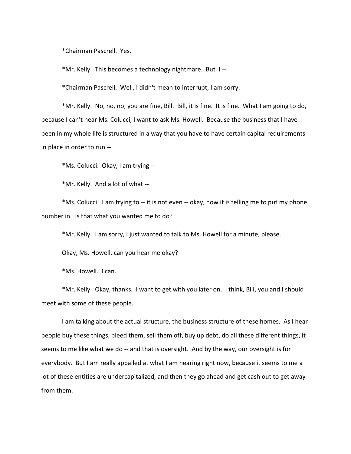\*Chairman Pascrell. Yes.

\*Mr. Kelly. This becomes a technology nightmare. But I --

\*Chairman Pascrell. Well, I didn't mean to interrupt, I am sorry.

\*Mr. Kelly. No, no, no, you are fine, Bill. Bill, it is fine. It is fine. What I am going to do, because I can't hear Ms. Colucci, I want to ask Ms. Howell. Because the business that I have been in my whole life is structured in a way that you have to have certain capital requirements in place in order to run --

\*Ms. Colucci. Okay, I am trying --

\*Mr. Kelly. And a lot of what --

\*Ms. Colucci. I am trying to -- it is not even -- okay, now it is telling me to put my phone number in. Is that what you wanted me to do?

\*Mr. Kelly. I am sorry, I just wanted to talk to Ms. Howell for a minute, please.

Okay, Ms. Howell, can you hear me okay?

\*Ms. Howell. I can.

\*Mr. Kelly. Okay, thanks. I want to get with you later on. I think, Bill, you and I should meet with some of these people.

I am talking about the actual structure, the business structure of these homes. As I hear people buy these things, bleed them, sell them off, buy up debt, do all these different things, it seems to me like what we do -- and that is oversight. And by the way, our oversight is for everybody. But I am really appalled at what I am hearing right now, because it seems to me a lot of these entities are undercapitalized, and then they go ahead and get cash out to get away from them.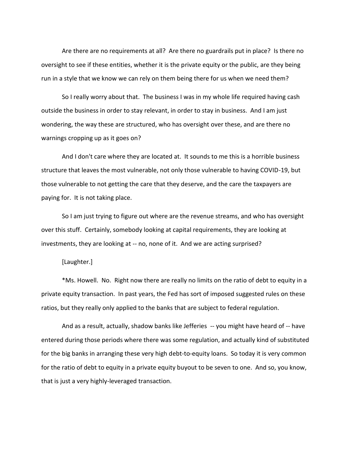Are there are no requirements at all? Are there no guardrails put in place? Is there no oversight to see if these entities, whether it is the private equity or the public, are they being run in a style that we know we can rely on them being there for us when we need them?

So I really worry about that. The business I was in my whole life required having cash outside the business in order to stay relevant, in order to stay in business. And I am just wondering, the way these are structured, who has oversight over these, and are there no warnings cropping up as it goes on?

And I don't care where they are located at. It sounds to me this is a horrible business structure that leaves the most vulnerable, not only those vulnerable to having COVID-19, but those vulnerable to not getting the care that they deserve, and the care the taxpayers are paying for. It is not taking place.

So I am just trying to figure out where are the revenue streams, and who has oversight over this stuff. Certainly, somebody looking at capital requirements, they are looking at investments, they are looking at -- no, none of it. And we are acting surprised?

#### [Laughter.]

\*Ms. Howell. No. Right now there are really no limits on the ratio of debt to equity in a private equity transaction. In past years, the Fed has sort of imposed suggested rules on these ratios, but they really only applied to the banks that are subject to federal regulation.

And as a result, actually, shadow banks like Jefferies -- you might have heard of -- have entered during those periods where there was some regulation, and actually kind of substituted for the big banks in arranging these very high debt-to-equity loans. So today it is very common for the ratio of debt to equity in a private equity buyout to be seven to one. And so, you know, that is just a very highly-leveraged transaction.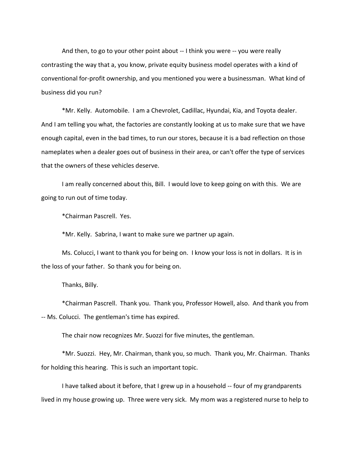And then, to go to your other point about -- I think you were -- you were really contrasting the way that a, you know, private equity business model operates with a kind of conventional for-profit ownership, and you mentioned you were a businessman. What kind of business did you run?

\*Mr. Kelly. Automobile. I am a Chevrolet, Cadillac, Hyundai, Kia, and Toyota dealer. And I am telling you what, the factories are constantly looking at us to make sure that we have enough capital, even in the bad times, to run our stores, because it is a bad reflection on those nameplates when a dealer goes out of business in their area, or can't offer the type of services that the owners of these vehicles deserve.

I am really concerned about this, Bill. I would love to keep going on with this. We are going to run out of time today.

\*Chairman Pascrell. Yes.

\*Mr. Kelly. Sabrina, I want to make sure we partner up again.

Ms. Colucci, I want to thank you for being on. I know your loss is not in dollars. It is in the loss of your father. So thank you for being on.

Thanks, Billy.

\*Chairman Pascrell. Thank you. Thank you, Professor Howell, also. And thank you from -- Ms. Colucci. The gentleman's time has expired.

The chair now recognizes Mr. Suozzi for five minutes, the gentleman.

\*Mr. Suozzi. Hey, Mr. Chairman, thank you, so much. Thank you, Mr. Chairman. Thanks for holding this hearing. This is such an important topic.

I have talked about it before, that I grew up in a household -- four of my grandparents lived in my house growing up. Three were very sick. My mom was a registered nurse to help to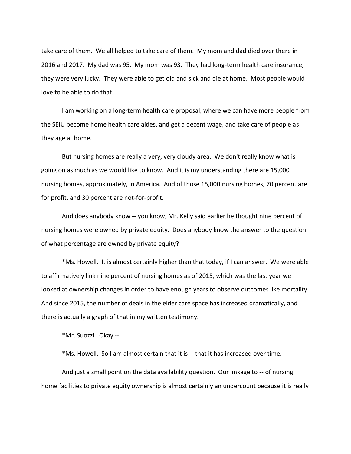take care of them. We all helped to take care of them. My mom and dad died over there in 2016 and 2017. My dad was 95. My mom was 93. They had long-term health care insurance, they were very lucky. They were able to get old and sick and die at home. Most people would love to be able to do that.

I am working on a long-term health care proposal, where we can have more people from the SEIU become home health care aides, and get a decent wage, and take care of people as they age at home.

But nursing homes are really a very, very cloudy area. We don't really know what is going on as much as we would like to know. And it is my understanding there are 15,000 nursing homes, approximately, in America. And of those 15,000 nursing homes, 70 percent are for profit, and 30 percent are not-for-profit.

And does anybody know -- you know, Mr. Kelly said earlier he thought nine percent of nursing homes were owned by private equity. Does anybody know the answer to the question of what percentage are owned by private equity?

\*Ms. Howell. It is almost certainly higher than that today, if I can answer. We were able to affirmatively link nine percent of nursing homes as of 2015, which was the last year we looked at ownership changes in order to have enough years to observe outcomes like mortality. And since 2015, the number of deals in the elder care space has increased dramatically, and there is actually a graph of that in my written testimony.

\*Mr. Suozzi. Okay --

\*Ms. Howell. So I am almost certain that it is -- that it has increased over time.

And just a small point on the data availability question. Our linkage to -- of nursing home facilities to private equity ownership is almost certainly an undercount because it is really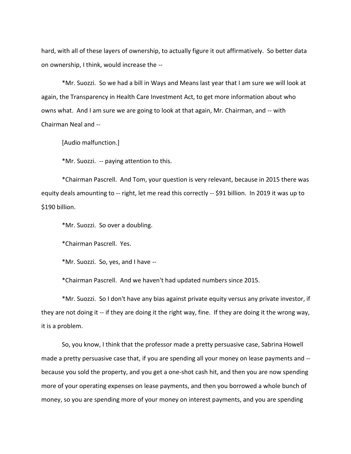hard, with all of these layers of ownership, to actually figure it out affirmatively. So better data on ownership, I think, would increase the --

\*Mr. Suozzi. So we had a bill in Ways and Means last year that I am sure we will look at again, the Transparency in Health Care Investment Act, to get more information about who owns what. And I am sure we are going to look at that again, Mr. Chairman, and -- with Chairman Neal and --

[Audio malfunction.]

\*Mr. Suozzi. -- paying attention to this.

\*Chairman Pascrell. And Tom, your question is very relevant, because in 2015 there was equity deals amounting to -- right, let me read this correctly -- \$91 billion. In 2019 it was up to \$190 billion.

\*Mr. Suozzi. So over a doubling.

\*Chairman Pascrell. Yes.

\*Mr. Suozzi. So, yes, and I have --

\*Chairman Pascrell. And we haven't had updated numbers since 2015.

\*Mr. Suozzi. So I don't have any bias against private equity versus any private investor, if they are not doing it -- if they are doing it the right way, fine. If they are doing it the wrong way, it is a problem.

So, you know, I think that the professor made a pretty persuasive case, Sabrina Howell made a pretty persuasive case that, if you are spending all your money on lease payments and - because you sold the property, and you get a one-shot cash hit, and then you are now spending more of your operating expenses on lease payments, and then you borrowed a whole bunch of money, so you are spending more of your money on interest payments, and you are spending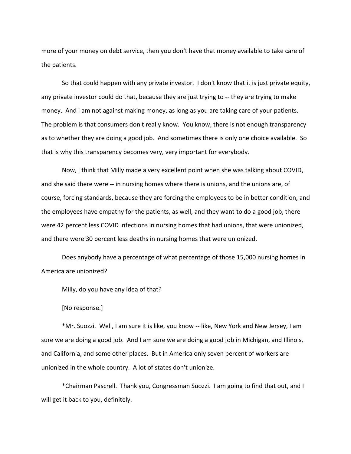more of your money on debt service, then you don't have that money available to take care of the patients.

So that could happen with any private investor. I don't know that it is just private equity, any private investor could do that, because they are just trying to -- they are trying to make money. And I am not against making money, as long as you are taking care of your patients. The problem is that consumers don't really know. You know, there is not enough transparency as to whether they are doing a good job. And sometimes there is only one choice available. So that is why this transparency becomes very, very important for everybody.

Now, I think that Milly made a very excellent point when she was talking about COVID, and she said there were -- in nursing homes where there is unions, and the unions are, of course, forcing standards, because they are forcing the employees to be in better condition, and the employees have empathy for the patients, as well, and they want to do a good job, there were 42 percent less COVID infections in nursing homes that had unions, that were unionized, and there were 30 percent less deaths in nursing homes that were unionized.

Does anybody have a percentage of what percentage of those 15,000 nursing homes in America are unionized?

Milly, do you have any idea of that?

[No response.]

\*Mr. Suozzi. Well, I am sure it is like, you know -- like, New York and New Jersey, I am sure we are doing a good job. And I am sure we are doing a good job in Michigan, and Illinois, and California, and some other places. But in America only seven percent of workers are unionized in the whole country. A lot of states don't unionize.

\*Chairman Pascrell. Thank you, Congressman Suozzi. I am going to find that out, and I will get it back to you, definitely.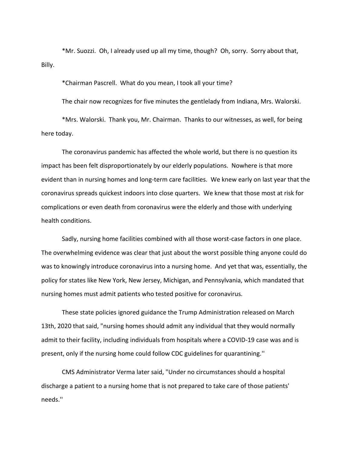\*Mr. Suozzi. Oh, I already used up all my time, though? Oh, sorry. Sorry about that, Billy.

\*Chairman Pascrell. What do you mean, I took all your time?

The chair now recognizes for five minutes the gentlelady from Indiana, Mrs. Walorski.

\*Mrs. Walorski. Thank you, Mr. Chairman. Thanks to our witnesses, as well, for being here today.

The coronavirus pandemic has affected the whole world, but there is no question its impact has been felt disproportionately by our elderly populations. Nowhere is that more evident than in nursing homes and long-term care facilities. We knew early on last year that the coronavirus spreads quickest indoors into close quarters. We knew that those most at risk for complications or even death from coronavirus were the elderly and those with underlying health conditions.

Sadly, nursing home facilities combined with all those worst-case factors in one place. The overwhelming evidence was clear that just about the worst possible thing anyone could do was to knowingly introduce coronavirus into a nursing home. And yet that was, essentially, the policy for states like New York, New Jersey, Michigan, and Pennsylvania, which mandated that nursing homes must admit patients who tested positive for coronavirus.

These state policies ignored guidance the Trump Administration released on March 13th, 2020 that said, "nursing homes should admit any individual that they would normally admit to their facility, including individuals from hospitals where a COVID-19 case was and is present, only if the nursing home could follow CDC guidelines for quarantining.''

CMS Administrator Verma later said, "Under no circumstances should a hospital discharge a patient to a nursing home that is not prepared to take care of those patients' needs.''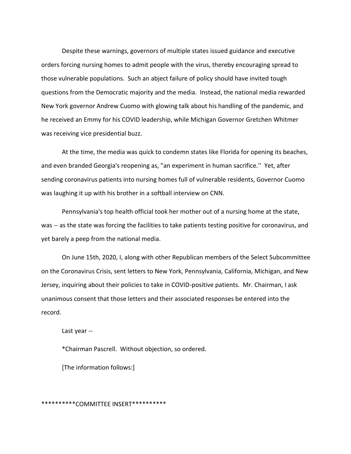Despite these warnings, governors of multiple states issued guidance and executive orders forcing nursing homes to admit people with the virus, thereby encouraging spread to those vulnerable populations. Such an abject failure of policy should have invited tough questions from the Democratic majority and the media. Instead, the national media rewarded New York governor Andrew Cuomo with glowing talk about his handling of the pandemic, and he received an Emmy for his COVID leadership, while Michigan Governor Gretchen Whitmer was receiving vice presidential buzz.

At the time, the media was quick to condemn states like Florida for opening its beaches, and even branded Georgia's reopening as, "an experiment in human sacrifice.'' Yet, after sending coronavirus patients into nursing homes full of vulnerable residents, Governor Cuomo was laughing it up with his brother in a softball interview on CNN.

Pennsylvania's top health official took her mother out of a nursing home at the state, was -- as the state was forcing the facilities to take patients testing positive for coronavirus, and yet barely a peep from the national media.

On June 15th, 2020, I, along with other Republican members of the Select Subcommittee on the Coronavirus Crisis, sent letters to New York, Pennsylvania, California, Michigan, and New Jersey, inquiring about their policies to take in COVID-positive patients. Mr. Chairman, I ask unanimous consent that those letters and their associated responses be entered into the record.

Last year --

\*Chairman Pascrell. Without objection, so ordered.

[The information follows:]

\*\*\*\*\*\*\*\*\*\*COMMITTEE INSERT\*\*\*\*\*\*\*\*\*\*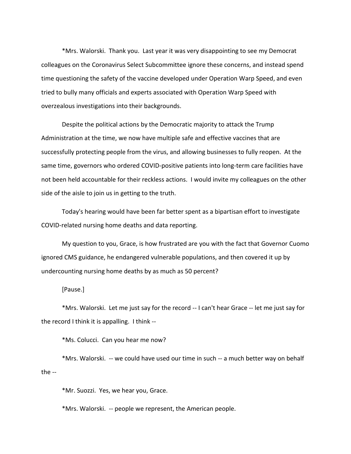\*Mrs. Walorski. Thank you. Last year it was very disappointing to see my Democrat colleagues on the Coronavirus Select Subcommittee ignore these concerns, and instead spend time questioning the safety of the vaccine developed under Operation Warp Speed, and even tried to bully many officials and experts associated with Operation Warp Speed with overzealous investigations into their backgrounds.

Despite the political actions by the Democratic majority to attack the Trump Administration at the time, we now have multiple safe and effective vaccines that are successfully protecting people from the virus, and allowing businesses to fully reopen. At the same time, governors who ordered COVID-positive patients into long-term care facilities have not been held accountable for their reckless actions. I would invite my colleagues on the other side of the aisle to join us in getting to the truth.

Today's hearing would have been far better spent as a bipartisan effort to investigate COVID-related nursing home deaths and data reporting.

My question to you, Grace, is how frustrated are you with the fact that Governor Cuomo ignored CMS guidance, he endangered vulnerable populations, and then covered it up by undercounting nursing home deaths by as much as 50 percent?

[Pause.]

\*Mrs. Walorski. Let me just say for the record -- I can't hear Grace -- let me just say for the record I think it is appalling. I think --

\*Ms. Colucci. Can you hear me now?

\*Mrs. Walorski. -- we could have used our time in such -- a much better way on behalf the --

\*Mr. Suozzi. Yes, we hear you, Grace.

\*Mrs. Walorski. -- people we represent, the American people.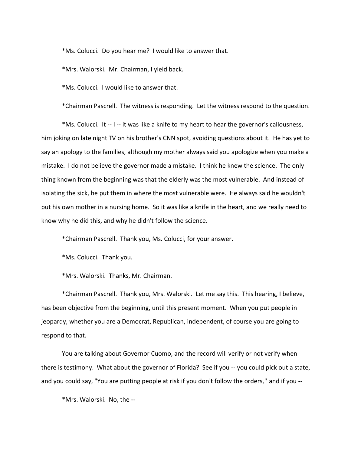\*Ms. Colucci. Do you hear me? I would like to answer that.

\*Mrs. Walorski. Mr. Chairman, I yield back.

\*Ms. Colucci. I would like to answer that.

\*Chairman Pascrell. The witness is responding. Let the witness respond to the question.

\*Ms. Colucci. It -- I -- it was like a knife to my heart to hear the governor's callousness, him joking on late night TV on his brother's CNN spot, avoiding questions about it. He has yet to say an apology to the families, although my mother always said you apologize when you make a mistake. I do not believe the governor made a mistake. I think he knew the science. The only thing known from the beginning was that the elderly was the most vulnerable. And instead of isolating the sick, he put them in where the most vulnerable were. He always said he wouldn't put his own mother in a nursing home. So it was like a knife in the heart, and we really need to know why he did this, and why he didn't follow the science.

\*Chairman Pascrell. Thank you, Ms. Colucci, for your answer.

\*Ms. Colucci. Thank you.

\*Mrs. Walorski. Thanks, Mr. Chairman.

\*Chairman Pascrell. Thank you, Mrs. Walorski. Let me say this. This hearing, I believe, has been objective from the beginning, until this present moment. When you put people in jeopardy, whether you are a Democrat, Republican, independent, of course you are going to respond to that.

You are talking about Governor Cuomo, and the record will verify or not verify when there is testimony. What about the governor of Florida? See if you -- you could pick out a state, and you could say, "You are putting people at risk if you don't follow the orders," and if you --

\*Mrs. Walorski. No, the --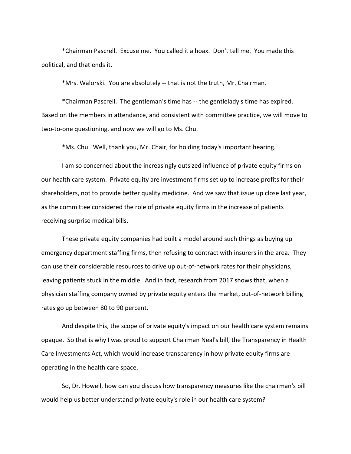\*Chairman Pascrell. Excuse me. You called it a hoax. Don't tell me. You made this political, and that ends it.

\*Mrs. Walorski. You are absolutely -- that is not the truth, Mr. Chairman.

\*Chairman Pascrell. The gentleman's time has -- the gentlelady's time has expired. Based on the members in attendance, and consistent with committee practice, we will move to two-to-one questioning, and now we will go to Ms. Chu.

\*Ms. Chu. Well, thank you, Mr. Chair, for holding today's important hearing.

I am so concerned about the increasingly outsized influence of private equity firms on our health care system. Private equity are investment firms set up to increase profits for their shareholders, not to provide better quality medicine. And we saw that issue up close last year, as the committee considered the role of private equity firms in the increase of patients receiving surprise medical bills.

These private equity companies had built a model around such things as buying up emergency department staffing firms, then refusing to contract with insurers in the area. They can use their considerable resources to drive up out-of-network rates for their physicians, leaving patients stuck in the middle. And in fact, research from 2017 shows that, when a physician staffing company owned by private equity enters the market, out-of-network billing rates go up between 80 to 90 percent.

And despite this, the scope of private equity's impact on our health care system remains opaque. So that is why I was proud to support Chairman Neal's bill, the Transparency in Health Care Investments Act, which would increase transparency in how private equity firms are operating in the health care space.

So, Dr. Howell, how can you discuss how transparency measures like the chairman's bill would help us better understand private equity's role in our health care system?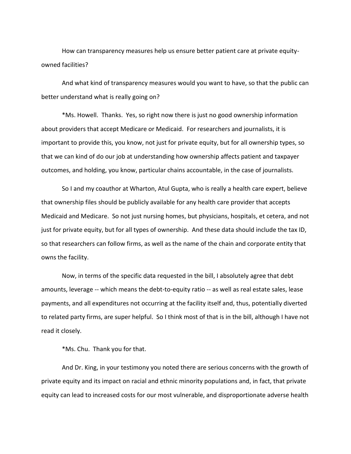How can transparency measures help us ensure better patient care at private equityowned facilities?

And what kind of transparency measures would you want to have, so that the public can better understand what is really going on?

\*Ms. Howell. Thanks. Yes, so right now there is just no good ownership information about providers that accept Medicare or Medicaid. For researchers and journalists, it is important to provide this, you know, not just for private equity, but for all ownership types, so that we can kind of do our job at understanding how ownership affects patient and taxpayer outcomes, and holding, you know, particular chains accountable, in the case of journalists.

So I and my coauthor at Wharton, Atul Gupta, who is really a health care expert, believe that ownership files should be publicly available for any health care provider that accepts Medicaid and Medicare. So not just nursing homes, but physicians, hospitals, et cetera, and not just for private equity, but for all types of ownership. And these data should include the tax ID, so that researchers can follow firms, as well as the name of the chain and corporate entity that owns the facility.

Now, in terms of the specific data requested in the bill, I absolutely agree that debt amounts, leverage -- which means the debt-to-equity ratio -- as well as real estate sales, lease payments, and all expenditures not occurring at the facility itself and, thus, potentially diverted to related party firms, are super helpful. So I think most of that is in the bill, although I have not read it closely.

\*Ms. Chu. Thank you for that.

And Dr. King, in your testimony you noted there are serious concerns with the growth of private equity and its impact on racial and ethnic minority populations and, in fact, that private equity can lead to increased costs for our most vulnerable, and disproportionate adverse health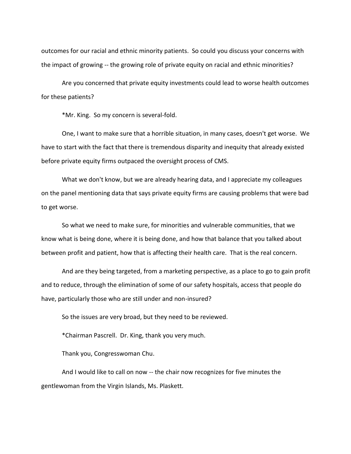outcomes for our racial and ethnic minority patients. So could you discuss your concerns with the impact of growing -- the growing role of private equity on racial and ethnic minorities?

Are you concerned that private equity investments could lead to worse health outcomes for these patients?

\*Mr. King. So my concern is several-fold.

One, I want to make sure that a horrible situation, in many cases, doesn't get worse. We have to start with the fact that there is tremendous disparity and inequity that already existed before private equity firms outpaced the oversight process of CMS.

What we don't know, but we are already hearing data, and I appreciate my colleagues on the panel mentioning data that says private equity firms are causing problems that were bad to get worse.

So what we need to make sure, for minorities and vulnerable communities, that we know what is being done, where it is being done, and how that balance that you talked about between profit and patient, how that is affecting their health care. That is the real concern.

And are they being targeted, from a marketing perspective, as a place to go to gain profit and to reduce, through the elimination of some of our safety hospitals, access that people do have, particularly those who are still under and non-insured?

So the issues are very broad, but they need to be reviewed.

\*Chairman Pascrell. Dr. King, thank you very much.

Thank you, Congresswoman Chu.

And I would like to call on now -- the chair now recognizes for five minutes the gentlewoman from the Virgin Islands, Ms. Plaskett.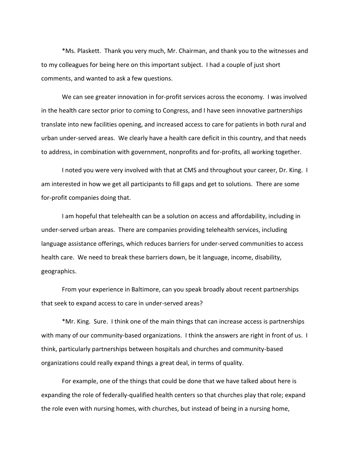\*Ms. Plaskett. Thank you very much, Mr. Chairman, and thank you to the witnesses and to my colleagues for being here on this important subject. I had a couple of just short comments, and wanted to ask a few questions.

We can see greater innovation in for-profit services across the economy. I was involved in the health care sector prior to coming to Congress, and I have seen innovative partnerships translate into new facilities opening, and increased access to care for patients in both rural and urban under-served areas. We clearly have a health care deficit in this country, and that needs to address, in combination with government, nonprofits and for-profits, all working together.

I noted you were very involved with that at CMS and throughout your career, Dr. King. I am interested in how we get all participants to fill gaps and get to solutions. There are some for-profit companies doing that.

I am hopeful that telehealth can be a solution on access and affordability, including in under-served urban areas. There are companies providing telehealth services, including language assistance offerings, which reduces barriers for under-served communities to access health care. We need to break these barriers down, be it language, income, disability, geographics.

From your experience in Baltimore, can you speak broadly about recent partnerships that seek to expand access to care in under-served areas?

\*Mr. King. Sure. I think one of the main things that can increase access is partnerships with many of our community-based organizations. I think the answers are right in front of us. I think, particularly partnerships between hospitals and churches and community-based organizations could really expand things a great deal, in terms of quality.

For example, one of the things that could be done that we have talked about here is expanding the role of federally-qualified health centers so that churches play that role; expand the role even with nursing homes, with churches, but instead of being in a nursing home,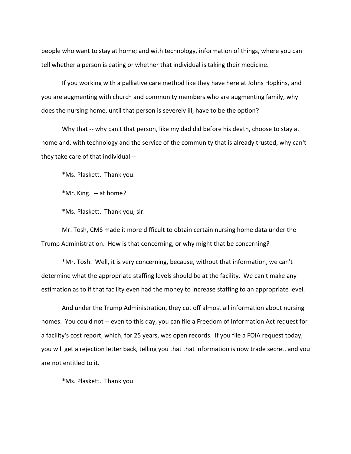people who want to stay at home; and with technology, information of things, where you can tell whether a person is eating or whether that individual is taking their medicine.

If you working with a palliative care method like they have here at Johns Hopkins, and you are augmenting with church and community members who are augmenting family, why does the nursing home, until that person is severely ill, have to be the option?

Why that -- why can't that person, like my dad did before his death, choose to stay at home and, with technology and the service of the community that is already trusted, why can't they take care of that individual --

\*Ms. Plaskett. Thank you.

\*Mr. King. -- at home?

\*Ms. Plaskett. Thank you, sir.

Mr. Tosh, CMS made it more difficult to obtain certain nursing home data under the Trump Administration. How is that concerning, or why might that be concerning?

\*Mr. Tosh. Well, it is very concerning, because, without that information, we can't determine what the appropriate staffing levels should be at the facility. We can't make any estimation as to if that facility even had the money to increase staffing to an appropriate level.

And under the Trump Administration, they cut off almost all information about nursing homes. You could not -- even to this day, you can file a Freedom of Information Act request for a facility's cost report, which, for 25 years, was open records. If you file a FOIA request today, you will get a rejection letter back, telling you that that information is now trade secret, and you are not entitled to it.

\*Ms. Plaskett. Thank you.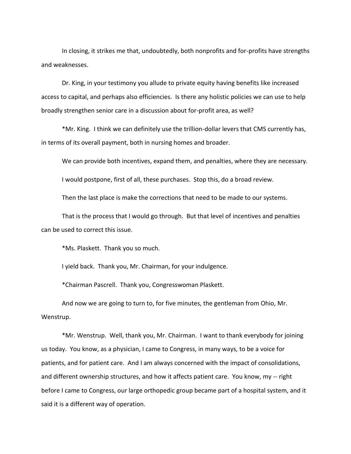In closing, it strikes me that, undoubtedly, both nonprofits and for-profits have strengths and weaknesses.

Dr. King, in your testimony you allude to private equity having benefits like increased access to capital, and perhaps also efficiencies. Is there any holistic policies we can use to help broadly strengthen senior care in a discussion about for-profit area, as well?

\*Mr. King. I think we can definitely use the trillion-dollar levers that CMS currently has, in terms of its overall payment, both in nursing homes and broader.

We can provide both incentives, expand them, and penalties, where they are necessary.

I would postpone, first of all, these purchases. Stop this, do a broad review.

Then the last place is make the corrections that need to be made to our systems.

That is the process that I would go through. But that level of incentives and penalties can be used to correct this issue.

\*Ms. Plaskett. Thank you so much.

I yield back. Thank you, Mr. Chairman, for your indulgence.

\*Chairman Pascrell. Thank you, Congresswoman Plaskett.

And now we are going to turn to, for five minutes, the gentleman from Ohio, Mr. Wenstrup.

\*Mr. Wenstrup. Well, thank you, Mr. Chairman. I want to thank everybody for joining us today. You know, as a physician, I came to Congress, in many ways, to be a voice for patients, and for patient care. And I am always concerned with the impact of consolidations, and different ownership structures, and how it affects patient care. You know, my -- right before I came to Congress, our large orthopedic group became part of a hospital system, and it said it is a different way of operation.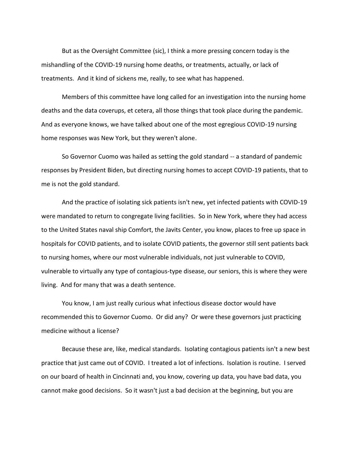But as the Oversight Committee (sic), I think a more pressing concern today is the mishandling of the COVID-19 nursing home deaths, or treatments, actually, or lack of treatments. And it kind of sickens me, really, to see what has happened.

Members of this committee have long called for an investigation into the nursing home deaths and the data coverups, et cetera, all those things that took place during the pandemic. And as everyone knows, we have talked about one of the most egregious COVID-19 nursing home responses was New York, but they weren't alone.

So Governor Cuomo was hailed as setting the gold standard -- a standard of pandemic responses by President Biden, but directing nursing homes to accept COVID-19 patients, that to me is not the gold standard.

And the practice of isolating sick patients isn't new, yet infected patients with COVID-19 were mandated to return to congregate living facilities. So in New York, where they had access to the United States naval ship Comfort, the Javits Center, you know, places to free up space in hospitals for COVID patients, and to isolate COVID patients, the governor still sent patients back to nursing homes, where our most vulnerable individuals, not just vulnerable to COVID, vulnerable to virtually any type of contagious-type disease, our seniors, this is where they were living. And for many that was a death sentence.

You know, I am just really curious what infectious disease doctor would have recommended this to Governor Cuomo. Or did any? Or were these governors just practicing medicine without a license?

Because these are, like, medical standards. Isolating contagious patients isn't a new best practice that just came out of COVID. I treated a lot of infections. Isolation is routine. I served on our board of health in Cincinnati and, you know, covering up data, you have bad data, you cannot make good decisions. So it wasn't just a bad decision at the beginning, but you are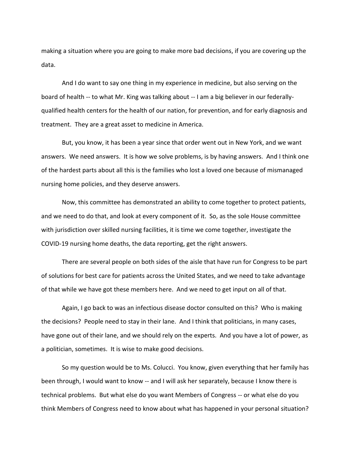making a situation where you are going to make more bad decisions, if you are covering up the data.

And I do want to say one thing in my experience in medicine, but also serving on the board of health -- to what Mr. King was talking about -- I am a big believer in our federallyqualified health centers for the health of our nation, for prevention, and for early diagnosis and treatment. They are a great asset to medicine in America.

But, you know, it has been a year since that order went out in New York, and we want answers. We need answers. It is how we solve problems, is by having answers. And I think one of the hardest parts about all this is the families who lost a loved one because of mismanaged nursing home policies, and they deserve answers.

Now, this committee has demonstrated an ability to come together to protect patients, and we need to do that, and look at every component of it. So, as the sole House committee with jurisdiction over skilled nursing facilities, it is time we come together, investigate the COVID-19 nursing home deaths, the data reporting, get the right answers.

There are several people on both sides of the aisle that have run for Congress to be part of solutions for best care for patients across the United States, and we need to take advantage of that while we have got these members here. And we need to get input on all of that.

Again, I go back to was an infectious disease doctor consulted on this? Who is making the decisions? People need to stay in their lane. And I think that politicians, in many cases, have gone out of their lane, and we should rely on the experts. And you have a lot of power, as a politician, sometimes. It is wise to make good decisions.

So my question would be to Ms. Colucci. You know, given everything that her family has been through, I would want to know -- and I will ask her separately, because I know there is technical problems. But what else do you want Members of Congress -- or what else do you think Members of Congress need to know about what has happened in your personal situation?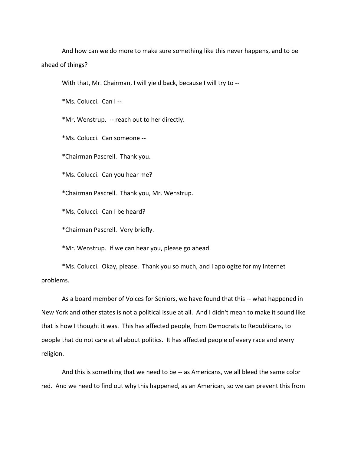And how can we do more to make sure something like this never happens, and to be ahead of things?

With that, Mr. Chairman, I will yield back, because I will try to --

\*Ms. Colucci. Can I --

\*Mr. Wenstrup. -- reach out to her directly.

\*Ms. Colucci. Can someone --

\*Chairman Pascrell. Thank you.

\*Ms. Colucci. Can you hear me?

\*Chairman Pascrell. Thank you, Mr. Wenstrup.

\*Ms. Colucci. Can I be heard?

\*Chairman Pascrell. Very briefly.

\*Mr. Wenstrup. If we can hear you, please go ahead.

\*Ms. Colucci. Okay, please. Thank you so much, and I apologize for my Internet problems.

As a board member of Voices for Seniors, we have found that this -- what happened in New York and other states is not a political issue at all. And I didn't mean to make it sound like that is how I thought it was. This has affected people, from Democrats to Republicans, to people that do not care at all about politics. It has affected people of every race and every religion.

And this is something that we need to be -- as Americans, we all bleed the same color red. And we need to find out why this happened, as an American, so we can prevent this from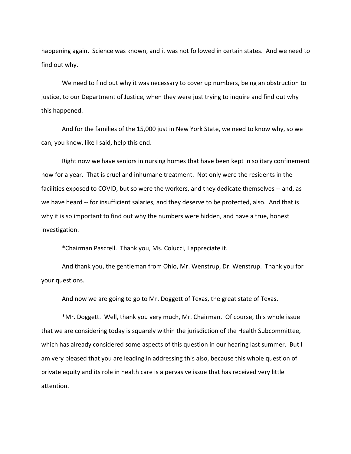happening again. Science was known, and it was not followed in certain states. And we need to find out why.

We need to find out why it was necessary to cover up numbers, being an obstruction to justice, to our Department of Justice, when they were just trying to inquire and find out why this happened.

And for the families of the 15,000 just in New York State, we need to know why, so we can, you know, like I said, help this end.

Right now we have seniors in nursing homes that have been kept in solitary confinement now for a year. That is cruel and inhumane treatment. Not only were the residents in the facilities exposed to COVID, but so were the workers, and they dedicate themselves -- and, as we have heard -- for insufficient salaries, and they deserve to be protected, also. And that is why it is so important to find out why the numbers were hidden, and have a true, honest investigation.

\*Chairman Pascrell. Thank you, Ms. Colucci, I appreciate it.

And thank you, the gentleman from Ohio, Mr. Wenstrup, Dr. Wenstrup. Thank you for your questions.

And now we are going to go to Mr. Doggett of Texas, the great state of Texas.

\*Mr. Doggett. Well, thank you very much, Mr. Chairman. Of course, this whole issue that we are considering today is squarely within the jurisdiction of the Health Subcommittee, which has already considered some aspects of this question in our hearing last summer. But I am very pleased that you are leading in addressing this also, because this whole question of private equity and its role in health care is a pervasive issue that has received very little attention.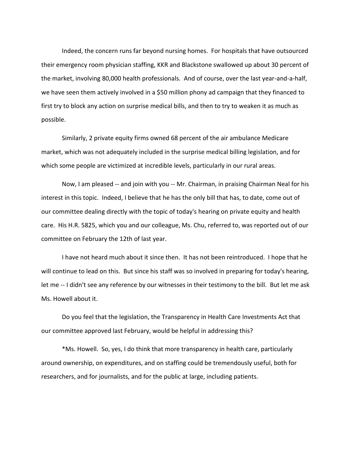Indeed, the concern runs far beyond nursing homes. For hospitals that have outsourced their emergency room physician staffing, KKR and Blackstone swallowed up about 30 percent of the market, involving 80,000 health professionals. And of course, over the last year-and-a-half, we have seen them actively involved in a \$50 million phony ad campaign that they financed to first try to block any action on surprise medical bills, and then to try to weaken it as much as possible.

Similarly, 2 private equity firms owned 68 percent of the air ambulance Medicare market, which was not adequately included in the surprise medical billing legislation, and for which some people are victimized at incredible levels, particularly in our rural areas.

Now, I am pleased -- and join with you -- Mr. Chairman, in praising Chairman Neal for his interest in this topic. Indeed, I believe that he has the only bill that has, to date, come out of our committee dealing directly with the topic of today's hearing on private equity and health care. His H.R. 5825, which you and our colleague, Ms. Chu, referred to, was reported out of our committee on February the 12th of last year.

I have not heard much about it since then. It has not been reintroduced. I hope that he will continue to lead on this. But since his staff was so involved in preparing for today's hearing, let me -- I didn't see any reference by our witnesses in their testimony to the bill. But let me ask Ms. Howell about it.

Do you feel that the legislation, the Transparency in Health Care Investments Act that our committee approved last February, would be helpful in addressing this?

\*Ms. Howell. So, yes, I do think that more transparency in health care, particularly around ownership, on expenditures, and on staffing could be tremendously useful, both for researchers, and for journalists, and for the public at large, including patients.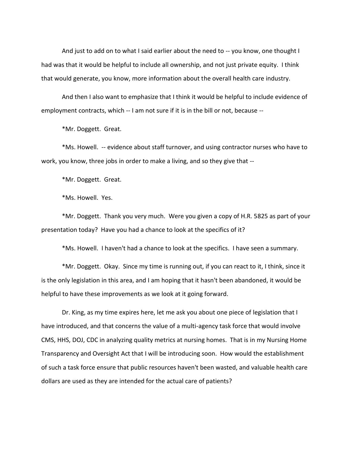And just to add on to what I said earlier about the need to -- you know, one thought I had was that it would be helpful to include all ownership, and not just private equity. I think that would generate, you know, more information about the overall health care industry.

And then I also want to emphasize that I think it would be helpful to include evidence of employment contracts, which -- I am not sure if it is in the bill or not, because --

\*Mr. Doggett. Great.

\*Ms. Howell. -- evidence about staff turnover, and using contractor nurses who have to work, you know, three jobs in order to make a living, and so they give that --

\*Mr. Doggett. Great.

\*Ms. Howell. Yes.

\*Mr. Doggett. Thank you very much. Were you given a copy of H.R. 5825 as part of your presentation today? Have you had a chance to look at the specifics of it?

\*Ms. Howell. I haven't had a chance to look at the specifics. I have seen a summary.

\*Mr. Doggett. Okay. Since my time is running out, if you can react to it, I think, since it is the only legislation in this area, and I am hoping that it hasn't been abandoned, it would be helpful to have these improvements as we look at it going forward.

Dr. King, as my time expires here, let me ask you about one piece of legislation that I have introduced, and that concerns the value of a multi-agency task force that would involve CMS, HHS, DOJ, CDC in analyzing quality metrics at nursing homes. That is in my Nursing Home Transparency and Oversight Act that I will be introducing soon. How would the establishment of such a task force ensure that public resources haven't been wasted, and valuable health care dollars are used as they are intended for the actual care of patients?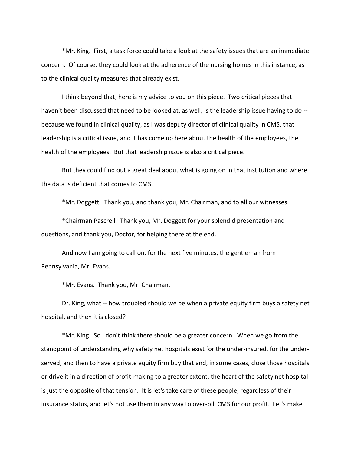\*Mr. King. First, a task force could take a look at the safety issues that are an immediate concern. Of course, they could look at the adherence of the nursing homes in this instance, as to the clinical quality measures that already exist.

I think beyond that, here is my advice to you on this piece. Two critical pieces that haven't been discussed that need to be looked at, as well, is the leadership issue having to do - because we found in clinical quality, as I was deputy director of clinical quality in CMS, that leadership is a critical issue, and it has come up here about the health of the employees, the health of the employees. But that leadership issue is also a critical piece.

But they could find out a great deal about what is going on in that institution and where the data is deficient that comes to CMS.

\*Mr. Doggett. Thank you, and thank you, Mr. Chairman, and to all our witnesses.

\*Chairman Pascrell. Thank you, Mr. Doggett for your splendid presentation and questions, and thank you, Doctor, for helping there at the end.

And now I am going to call on, for the next five minutes, the gentleman from Pennsylvania, Mr. Evans.

\*Mr. Evans. Thank you, Mr. Chairman.

Dr. King, what -- how troubled should we be when a private equity firm buys a safety net hospital, and then it is closed?

\*Mr. King. So I don't think there should be a greater concern. When we go from the standpoint of understanding why safety net hospitals exist for the under-insured, for the underserved, and then to have a private equity firm buy that and, in some cases, close those hospitals or drive it in a direction of profit-making to a greater extent, the heart of the safety net hospital is just the opposite of that tension. It is let's take care of these people, regardless of their insurance status, and let's not use them in any way to over-bill CMS for our profit. Let's make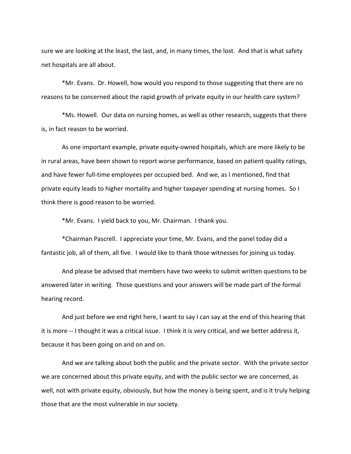sure we are looking at the least, the last, and, in many times, the lost. And that is what safety net hospitals are all about.

\*Mr. Evans. Dr. Howell, how would you respond to those suggesting that there are no reasons to be concerned about the rapid growth of private equity in our health care system?

\*Ms. Howell. Our data on nursing homes, as well as other research, suggests that there is, in fact reason to be worried.

As one important example, private equity-owned hospitals, which are more likely to be in rural areas, have been shown to report worse performance, based on patient quality ratings, and have fewer full-time employees per occupied bed. And we, as I mentioned, find that private equity leads to higher mortality and higher taxpayer spending at nursing homes. So I think there is good reason to be worried.

\*Mr. Evans. I yield back to you, Mr. Chairman. I thank you.

\*Chairman Pascrell. I appreciate your time, Mr. Evans, and the panel today did a fantastic job, all of them, all five. I would like to thank those witnesses for joining us today.

And please be advised that members have two weeks to submit written questions to be answered later in writing. Those questions and your answers will be made part of the formal hearing record.

And just before we end right here, I want to say I can say at the end of this hearing that it is more -- I thought it was a critical issue. I think it is very critical, and we better address it, because it has been going on and on and on.

And we are talking about both the public and the private sector. With the private sector we are concerned about this private equity, and with the public sector we are concerned, as well, not with private equity, obviously, but how the money is being spent, and is it truly helping those that are the most vulnerable in our society.